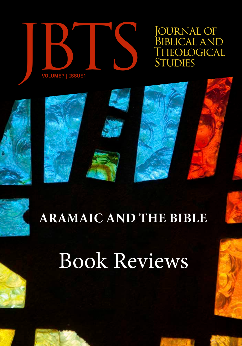

Journal of BIBLICAL AND<br>THEOLOGICAL





# **ARAMAIC AND THE BIBLE**

# Book Reviews

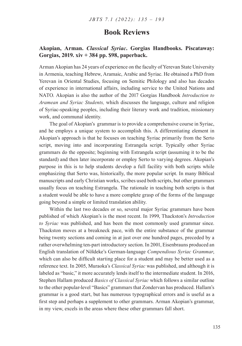# **Akopian, Arman.** *Classical Syriac***. Gorgias Handbooks. Piscataway: Gorgias, 2019. xiv + 384 pp. \$98, paperback.**

Arman Akopian has 24 years of experience on the faculty of Yerevan State University in Armenia, teaching Hebrew, Aramaic, Arabic and Syriac. He obtained a PhD from Yerevan in Oriental Studies, focusing on Semitic Philology and also has decades of experience in international affairs, including service to the United Nations and NATO. Akopian is also the author of the 2017 Gorgias Handbook *Introduction to Aramean and Syriac Students,* which discusses the language, culture and religion of Syriac-speaking peoples, including their literary work and tradition, missionary work, and communal identity.

The goal of Akopian's grammar is to provide a comprehensive course in Syriac, and he employs a unique system to accomplish this. A differentiating element in Akopian's approach is that he focuses on teaching Syriac primarily from the Serto script, moving into and incorporating Estrangela script. Typically other Syriac grammars do the opposite; beginning with Estrangela script (assuming it to be the standard) and then later incorporate or employ Serto to varying degrees. Akopian's purpose in this is to help students develop a full facility with both scripts while emphasizing that Serto was, historically, the more popular script. In many Biblical manuscripts and early Christian works, scribes used both scripts, but other grammars usually focus on teaching Estrangela. The rationale in teaching both scripts is that a student would be able to have a more complete grasp of the forms of the language going beyond a simple or limited translation ability.

Within the last two decades or so, several major Syriac grammars have been published of which Akopian's is the most recent. In 1999, Thackston's *Introduction to Syriac* was published, and has been the most commonly used grammar since. Thackston moves at a breakneck pace, with the entire substance of the grammar being twenty sections and coming in at just over one hundred pages, preceded by a rather overwhelming ten-part introductory section. In 2001, Eisenbrauns produced an English translation of Nöldeke's German-language *Compendious Syriac Grammar*, which can also be difficult starting place for a student and may be better used as a reference text. In 2005, Muraoka's *Classical Syriac* was published, and although it is labeled as "basic," it more accurately lends itself to the intermediate student. In 2016, Stephen Hallam produced *Basics of Classical Syriac* which follows a similar outline to the other popular-level "Basics" grammars that Zondervan has produced. Hallam's grammar is a good start, but has numerous typographical errors and is useful as a first step and perhaps a supplement to other grammars. Arman Akopian's grammar, in my view, excels in the areas where these other grammars fall short.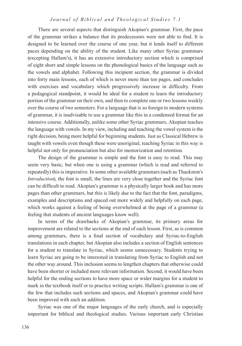There are several aspects that distinguish Akopian's grammar. First, the pace of the grammar strikes a balance that its predecessors were not able to find. It is designed to be learned over the course of one year, but it lends itself to different paces depending on the ability of the student. Like many other Syriac grammars (excepting Hallam's), it has an extensive introductory section which is comprised of eight short and simple lessons on the phonological basics of the language such as the vowels and alphabet. Following this incipient section, the grammar is divided into forty main lessons, each of which is never more than ten pages, and concludes with exercises and vocabulary which progressively increase in difficulty. From a pedagogical standpoint, it would be ideal for a student to learn the introductory portion of the grammar on their own, and then to complete one or two lessons weekly over the course of two semesters. For a language that is so foreign to modern systems of grammar, it is inadvisable to use a grammar like this in a condensed format for an intensive course. Additionally, unlike some other Syriac grammars, Akopian teaches the language with vowels. In my view, including and teaching the vowel system is the right decision, being more helpful for beginning students. Just as Classical Hebrew is taught with vowels even though these were unoriginal, teaching Syriac in this way is helpful not only for pronunciation but also for memorization and retention.

The design of the grammar is simple and the font is easy to read. This may seem very basic, but when one is using a grammar (which is read and referred to repeatedly) this is imperative. In some other available grammars (such as Thackston's *Introduction*), the font is small, the lines are very close together and the Syriac font can be difficult to read. Akopian's grammar is a physically larger book and has more pages than other grammars, but this is likely due to the fact that the font, paradigms, examples and descriptions and spaced out more widely and helpfully on each page, which works against a feeling of being overwhelmed at the page of a grammar (a feeling that students of ancient languages know well).

In terms of the drawbacks of Akopian's grammar, its primary areas for improvement are related to the sections at the end of each lesson. First, as is common among grammars, there is a final section of vocabulary and Syriac-to-English translations in each chapter, but Akopian also includes a section of English sentences for a student to translate in Syriac, which seems unnecessary. Students trying to learn Syriac are going to be interested in translating from Syriac to English and not the other way around. This inclusion seems to lengthen chapters that otherwise could have been shorter or included more relevant information. Second, it would have been helpful for the ending sections to have more space or wider margins for a student to mark in the textbook itself or to practice writing scripts. Hallam's grammar is one of the few that includes such sections and spaces, and Akopian's grammar could have been improved with such an addition.

Syriac was one of the major languages of the early church, and is especially important for biblical and theological studies. Various important early Christian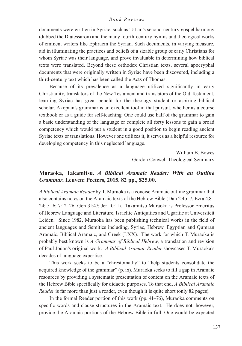documents were written in Syriac, such as Tatian's second-century gospel harmony (dubbed the Diatessaron) and the many fourth-century hymns and theological works of eminent writers like Ephraem the Syrian. Such documents, in varying measure, aid in illuminating the practices and beliefs of a sizable group of early Christians for whom Syriac was their language, and prove invaluable in determining how biblical texts were translated. Beyond these orthodox Christian texts, several apocryphal documents that were originally written in Syriac have been discovered, including a third-century text which has been called the Acts of Thomas.

Because of its prevalence as a language utilized significantly in early Christianity, translators of the New Testament and translators of the Old Testament, learning Syriac has great benefit for the theology student or aspiring biblical scholar. Akopian's grammar is an excellent tool in that pursuit, whether as a course textbook or as a guide for self-teaching. One could use half of the grammar to gain a basic understanding of the language or complete all forty lessons to gain a broad competency which would put a student in a good position to begin reading ancient Syriac texts or translations. However one utilizes it, it serves as a helpful resource for developing competency in this neglected language.

> William B. Bowes Gordon Conwell Theological Seminary

# **Muraoka, Takamitsu.** *A Biblical Aramaic Reader: With an Outline Grammar***. Leuven: Peeters, 2015. 82 pp., \$25.00.**

*A Biblical Aramaic Reader* by T. Muraoka is a concise Aramaic outline grammar that also contains notes on the Aramaic texts of the Hebrew Bible (Dan 2:4b–7; Ezra 4:8– 24; 5–6; 7:12–26; Gen 31:47; Jer 10:11). Takamitsu Muraoka is Professor Emeritus of Hebrew Language and Literature, Israelite Antiquities and Ugaritic at Universiteit Leiden. Since 1982, Muraoka has been publishing technical works in the field of ancient languages and Semitics including, Syriac, Hebrew, Egyptian and Qumran Aramaic, Biblical Aramaic, and Greek (LXX). The work for which T. Muraoka is probably best known is *A Grammar of Biblical Hebrew*, a translation and revision of Paul Joüon's original work. *A Biblical Aramaic Reader* showcases T. Muraoka's decades of language expertise.

This work seeks to be a "chrestomathy" to "help students consolidate the acquired knowledge of the grammar" (p. ix). Muraoka seeks to fill a gap in Aramaic resources by providing a systematic presentation of content on the Aramaic texts of the Hebrew Bible specifically for didactic purposes. To that end, *A Biblical Aramaic Reader* is far more than just a reader, even though it is quite short (only 82 pages).

In the formal Reader portion of this work (pp. 41–76), Muraoka comments on specific words and clause structures in the Aramaic text. He does not, however, provide the Aramaic portions of the Hebrew Bible in full. One would be expected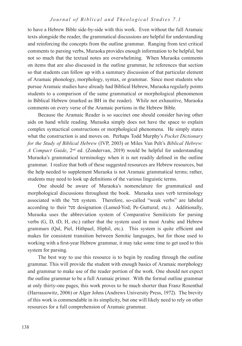to have a Hebrew Bible side-by-side with this work. Even without the full Aramaic texts alongside the reader, the grammatical discussions are helpful for understanding and reinforcing the concepts from the outline grammar. Ranging from text critical comments to parsing verbs, Muraoka provides enough information to be helpful, but not so much that the textual notes are overwhelming. When Muraoka comments on items that are also discussed in the outline grammar, he references that section so that students can follow up with a summary discussion of that particular element of Aramaic phonology, morphology, syntax, or grammar. Since most students who pursue Aramaic studies have already had Biblical Hebrew, Muraoka regularly points students to a comparison of the same grammatical or morphological phenomenon in Biblical Hebrew (marked as BH in the reader). While not exhaustive, Muraoka comments on every verse of the Aramaic portions in the Hebrew Bible.

Because the Aramaic Reader is so succinct one should consider having other aids on hand while reading. Muraoka simply does not have the space to explain complex syntactical constructions or morphological phenomena. He simply states what the construction is and moves on. Perhaps Todd Murphy's *Pocket Dictionary for the Study of Biblical Hebrew* (IVP, 2003) or Miles Van Pelt's *Biblical Hebrew: A Compact Guide*, 2nd ed. (Zondervan, 2019) would be helpful for understanding Muraoka's grammatical terminology when it is not readily defined in the outline grammar. I realize that both of these suggested resources are Hebrew resources, but the help needed to supplement Muraoka is not Aramaic grammatical terms; rather, students may need to look up definitions of the various linguistic terms.

One should be aware of Muraoka's nomenclature for grammatical and morphological discussions throughout the book. Muraoka uses verb terminology associated with the פעל system. Therefore, so-called "weak verbs" are labeled according to their פעל designation (Lamed-Yod; Pe-Guttural; etc.). Additionally, Muraoka uses the abbreviation system of Comparative Semiticists for parsing verbs (G, D, tD, H, etc.) rather that the system used in most Arabic and Hebrew grammars (Qal, Piel, Hithpael, Hiphil, etc.). This system is quite efficient and makes for consistent transition between Semitic languages, but for those used to working with a first-year Hebrew grammar, it may take some time to get used to this system for parsing.

The best way to use this resource is to begin by reading through the outline grammar. This will provide the student with enough basics of Aramaic morphology and grammar to make use of the reader portion of the work. One should not expect the outline grammar to be a full Aramaic primer. With the formal outline grammar at only thirty-one pages, this work proves to be much shorter than Franz Rosenthal (Harrassowitz, 2006) or Alger Johns (Andrews University Press, 1972). The brevity of this work is commendable in its simplicity, but one will likely need to rely on other resources for a full comprehension of Aramaic grammar.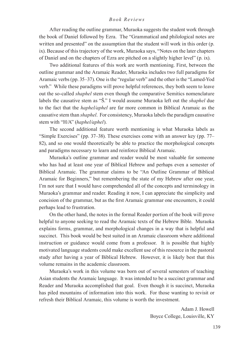After reading the outline grammar, Muraoka suggests the student work through the book of Daniel followed by Ezra. The "Grammatical and philological notes are written and presented" on the assumption that the student will work in this order (p. ix). Because of this trajectory of the work, Muraoka says, "Notes on the later chapters of Daniel and on the chapters of Ezra are pitched on a slightly higher level" (p. ix).

Two additional features of this work are worth mentioning. First, between the outline grammar and the Aramaic Reader, Muraoka includes two full paradigms for Aramaic verbs (pp. 35–37). One is the "regular verb" and the other is the "Lamed-Yod verb." While these paradigms will prove helpful references, they both seem to leave out the so-called *shaphel* stem even though the comparative Semitics nomenclature labels the causative stem as "Š." I would assume Muraoka left out the *shaphel* due to the fact that the *haphel/aphel* are far more common in Biblical Aramaic as the causative stem than *shaphel*. For consistency, Muraoka labels the paradigm causative stem with "H/A" (*haphel/aphel*).

The second additional feature worth mentioning is what Muraoka labels as "Simple Exercises" (pp. 37–38). These exercises come with an answer key (pp. 77– 82), and so one would theoretically be able to practice the morphological concepts and paradigms necessary to learn and reinforce Biblical Aramaic.

Muraoka's outline grammar and reader would be most valuable for someone who has had at least one year of Biblical Hebrew and perhaps even a semester of Biblical Aramaic. The grammar claims to be "An Outline Grammar of Biblical Aramaic for Beginners," but remembering the state of my Hebrew after one year, I'm not sure that I would have comprehended all of the concepts and terminology in Muraoka's grammar and reader. Reading it now, I can appreciate the simplicity and concision of the grammar, but as the first Aramaic grammar one encounters, it could perhaps lead to frustration.

On the other hand, the notes in the formal Reader portion of the book will prove helpful to anyone seeking to read the Aramaic texts of the Hebrew Bible. Muraoka explains forms, grammar, and morphological changes in a way that is helpful and succinct. This book would be best suited in an Aramaic classroom where additional instruction or guidance would come from a professor. It is possible that highly motivated language students could make excellent use of this resource in the pastoral study after having a year of Biblical Hebrew. However, it is likely best that this volume remains in the academic classroom.

Muraoka's work in this volume was born out of several semesters of teaching Asian students the Aramaic language. It was intended to be a succinct grammar and Reader and Muraoka accomplished that goal. Even though it is succinct, Muraoka has piled mountains of information into this work. For those wanting to revisit or refresh their Biblical Aramaic, this volume is worth the investment.

> Adam J. Howell Boyce College, Louisville, KY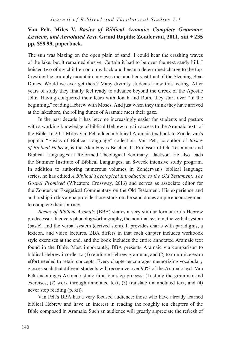# **Van Pelt, Miles V.** *Basics of Biblical Aramaic: Complete Grammar, Lexicon, and Annotated Text***. Grand Rapids: Zondervan, 2011, xiii + 235 pp, \$59.99, paperback.**

The sun was blazing on the open plain of sand. I could hear the crashing waves of the lake, but it remained elusive. Certain it had to be over the next sandy hill, I hoisted two of my children onto my back and began a determined charge to the top. Cresting the crumbly mountain, my eyes met another vast tract of the Sleeping Bear Dunes. Would we ever get there? Many divinity students know this feeling. After years of study they finally feel ready to advance beyond the Greek of the Apostle John. Having conquered their fears with Jonah and Ruth, they start over "in the beginning," reading Hebrew with Moses. And just when they think they have arrived at the lakeshore, the rolling dunes of Aramaic meet their gaze.

In the past decade it has become increasingly easier for students and pastors with a working knowledge of biblical Hebrew to gain access to the Aramaic texts of the Bible. In 2011 Miles Van Pelt added a biblical Aramaic textbook to Zondervan's popular "Basics of Biblical Language" collection. Van Pelt, co-author of *Basics of Biblical Hebrew*, is the Alan Hayes Belcher, Jr. Professor of Old Testament and Biblical Languages at Reformed Theological Seminary—Jackson. He also leads the Summer Institute of Biblical Languages, an 8-week intensive study program. In addition to authoring numerous volumes in Zondervan's biblical language series, he has edited *A Biblical Theological Introduction to the Old Testament: The Gospel Promised* (Wheaton: Crossway, 2016) and serves as associate editor for the Zondervan Exegetical Commentary on the Old Testament. His experience and authorship in this arena provide those stuck on the sand dunes ample encouragement to complete their journey.

*Basics of Biblical Aramaic* (BBA) shares a very similar format to its Hebrew predecessor. It covers phonology/orthography, the nominal system, the verbal system (basic), and the verbal system (derived stem). It provides charts with paradigms, a lexicon, and video lectures. BBA differs in that each chapter includes workbook style exercises at the end, and the book includes the entire annotated Aramaic text found in the Bible. Most importantly, BBA presents Aramaic via comparison to biblical Hebrew in order to (1) reinforce Hebrew grammar, and (2) to minimize extra effort needed to retain concepts. Every chapter encourages memorizing vocabulary glosses such that diligent students will recognize over 90% of the Aramaic text. Van Pelt encourages Aramaic study in a four-step process: (1) study the grammar and exercises, (2) work through annotated text, (3) translate unannotated text, and (4) never stop reading (p. xii).

Van Pelt's BBA has a very focused audience: those who have already learned biblical Hebrew and have an interest in reading the roughly ten chapters of the Bible composed in Aramaic. Such an audience will greatly appreciate the refresh of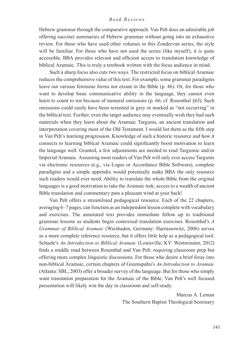Hebrew grammar through the comparative approach. Van Pelt does an admirable job offering succinct summaries of Hebrew grammar without going into an exhaustive review. For those who have used other volumes in this Zondervan series, the style will be familiar. For those who have not used the series (like myself), it is quite accessible. BBA provides relevant and efficient access to translation knowledge of biblical Aramaic. This is truly a textbook written with the focus audience in mind.

Such a sharp focus also cuts two ways. The restricted focus on biblical Aramaic reduces the comprehensive value of this text. For example, some grammar paradigms leave out various feminine forms not extant in the Bible (p. 46). Or, for those who want to develop basic communicative ability in the language, they cannot even learn to count to ten because of numeral omissions (p. 66; cf. Rosenthal §63). Such omissions could easily have been screened in grey or marked as "not occurring" in the biblical text. Further, even the target audience may eventually wish they had such materials when they learn about the Aramaic Targums, an ancient translation and interpretation covering most of the Old Testament. I would list them as the fifth step in Van Pelt's learning progression. Knowledge of such a historic resource and how it connects to learning biblical Aramaic could significantly boost motivation to learn the language well. Granted, a few adjustments are needed to read Targumic and/or Imperial Aramaic. Assuming most readers of Van Pelt will only ever access Targums via electronic resources (e.g., via Logos or Accordance Bible Software), complete paradigms and a simple appendix would potentially make BBA the only resource such readers would ever need. Ability to translate the whole Bible from the original languages is a good motivation to take the Aramaic trek; access to a wealth of ancient Bible translation and commentary puts a pleasant wind at your back!

Van Pelt offers a streamlined pedagogical resource. Each of the 22 chapters, averaging 6–7 pages, can function as an independent lesson complete with vocabulary and exercises. The annotated text provides immediate follow up to traditional grammar lessons as students begin contextual translation exercises. Rosenthal's *A Grammar of Biblical Aramaic* (Weisbaden, Germany: Harrassowitz, 2006) serves as a more complete reference resource, but it offers little help as a pedagogical tool. Schuele's *An Introduction to Biblical Aramaic* (Louisville, KY: Westminster, 2012) finds a middle road between Rosenthal and Van Pelt: requiring classroom prep but offering more complex linguistic discussions. For those who desire a brief foray into non-biblical Aramaic, certain chapters of Greenspahn's *An Introduction to Aramaic*  (Atlanta: SBL, 2003) offer a broader survey of the language. But for those who simply want translation preparation for the Aramaic of the Bible, Van Pelt's well focused presentation will likely win the day in classroom and self-study.

> Marcus A. Leman The Southern Baptist Theological Seminary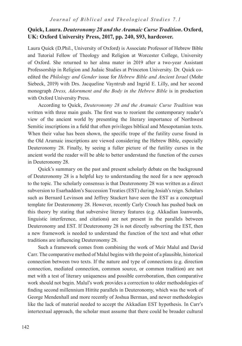# **Quick, Laura.** *Deuteronomy 28 and the Aramaic Curse Tradition***. Oxford, UK: Oxford University Press, 2017, pp. 240, \$93, hardcover.**

Laura Quick (D.Phil., University of Oxford) is Associate Professor of Hebrew Bible and Tutorial Fellow of Theology and Religion at Worcester College, University of Oxford. She returned to her alma mater in 2019 after a two-year Assistant Professorship in Religion and Judaic Studies at Princeton University. Dr. Quick coedited the *Philology and Gender* issue for *Hebrew Bible and Ancient Israel* (Mohr Siebeck, 2019) with Drs. Jacqueline Vayntrub and Ingrid E. Lilly, and her second monograph *Dress, Adornment and the Body in the Hebrew Bible* is in production with Oxford University Press.

According to Quick, *Deuteronomy 28 and the Aramaic Curse Tradition* was written with three main goals. The first was to reorient the contemporary reader's view of the ancient world by presenting the literary importance of Northwest Semitic inscriptions in a field that often privileges biblical and Mesopotamian texts. When their value has been shown, the specific trope of the futility curse found in the Old Aramaic inscriptions are viewed considering the Hebrew Bible, especially Deuteronomy 28. Finally, by seeing a fuller picture of the futility curses in the ancient world the reader will be able to better understand the function of the curses in Deuteronomy 28.

Quick's summary on the past and present scholarly debate on the background of Deuteronomy 28 is a helpful key to understanding the need for a new approach to the topic. The scholarly consensus is that Deuteronomy 28 was written as a direct subversion to Esarhaddon's Succession Treaties (EST) during Josiah's reign. Scholars such as Bernard Levinson and Jeffrey Stackert have seen the EST as a conceptual template for Deuteronomy 28. However, recently Carly Crouch has pushed back on this theory by stating that subversive literary features (e.g. Akkadian loanwords, linguistic interference, and citations) are not present in the parallels between Deuteronomy and EST. If Deuteronomy 28 is not directly subverting the EST, then a new framework is needed to understand the function of the text and what other traditions are influencing Deuteronomy 28.

Such a framework comes from combining the work of Meir Malul and David Carr. The comparative method of Malul begins with the point of a plausible, historical connection between two texts. If the nature and type of connections (e.g. direction connection, mediated connection, common source, or common tradition) are not met with a test of literary uniqueness and possible corroboration, then comparative work should not begin. Malul's work provides a correction to older methodologies of finding second millennium Hittite parallels in Deuteronomy, which was the work of George Mendenhall and more recently of Joshua Berman, and newer methodologies like the lack of material needed to accept the Akkadian EST hypothesis. In Carr's intertextual approach, the scholar must assume that there could be broader cultural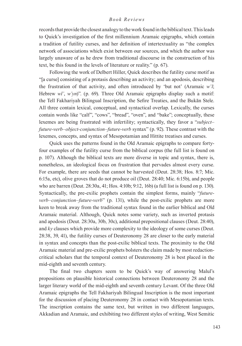records that provide the closest analogy to the work found in the biblical text. This leads to Quick's investigation of the first millennium Aramaic epigraphs, which contain a tradition of futility curses, and her definition of intertextuality as "the complex network of associations which exist between our sources, and which the author was largely unaware of as he drew from traditional discourse in the construction of his text, be this found in the levels of literature or reality." (p. 67).

Following the work of Delbert Hiller, Quick describes the futility curse motif as "[a curse] consisting of a protasis describing an activity; and an apodosis, describing the frustration of that activity, and often introduced by 'but not' (Aramaic *w'l*; Hebrew *wl'*, *w'yn*)". (p. 69). Three Old Aramaic epigraphs display such a motif: the Tell Fakhariyah Bilingual Inscription, the Sefire Treaties, and the Bukān Stele. All three contain lexical, conceptual, and syntactical overlap. Lexically, the curses contain words like "calf", "cows", "bread", "oven", and "bake"; conceptually, these lexemes are being frustrated with infertility; syntactically, they favor a "*subject– future-verb–object-conjunction–future-verb* syntax" (p. 92). These contrast with the lexemes, concepts, and syntax of Mesopotamian and Hittite treatises and curses.

Quick uses the patterns found in the Old Aramaic epigraphs to compare fortyfour examples of the futility curse from the biblical corpus (the full list is found on p. 107). Although the biblical texts are more diverse in topic and syntax, there is, nonetheless, an ideological focus on frustration that pervades almost every curse. For example, there are seeds that cannot be harvested (Deut. 28:38; Hos. 8:7; Mic. 6:15a, etc), olive groves that do not produce oil (Deut. 28:40; Mic. 6:15b), and people who are barren (Deut. 28:30a, 41; Hos. 4:10b; 9:12, 16b) (a full list is found on p. 130). Syntactically, the pre-exilic prophets contain the simplest forms, mainly "*futureverb–conjunction–future-verb*" (p. 131), while the post-exilic prophets are more keen to break away from the traditional syntax found in the earlier biblical and Old Aramaic material. Although, Quick notes some variety, such as inverted protasis and apodosis (Deut. 28:30a, 30b, 30c), additional prepositional clauses (Deut. 28:40), and *ky* clauses which provide more complexity to the ideology of some curses (Deut. 28:38, 39, 41), the futility curses of Deuteronomy 28 are closer to the early material in syntax and concepts than the post-exilic biblical texts. The proximity to the Old Aramaic material and pre-exilic prophets bolsters the claim made by most redactioncritical scholars that the temporal context of Deuteronomy 28 is best placed in the mid-eighth and seventh century.

The final two chapters seem to be Quick's way of answering Malul's propositions on plausible historical connections between Deuteronomy 28 and the larger literary world of the mid-eighth and seventh century Levant. Of the three Old Aramaic epigraphs the Tell Fakhariyah Bilingual Inscription is the most important for the discussion of placing Deuteronomy 28 in contact with Mesopotamian texts. The inscription contains the same text, but written in two different languages, Akkadian and Aramaic, and exhibiting two different styles of writing, West Semitic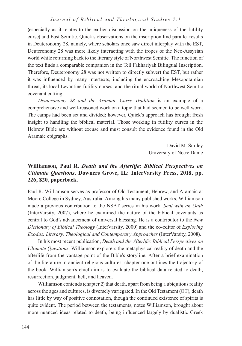(especially as it relates to the earlier discussion on the uniqueness of the futility curse) and East Semitic. Quick's observations on the inscription find parallel results in Deuteronomy 28, namely, where scholars once saw direct interplay with the EST, Deuteronomy 28 was more likely interacting with the tropes of the Neo-Assyrian world while returning back to the literary style of Northwest Semitic. The function of the text finds a comparable companion in the Tell Fakhariyah Bilingual Inscription. Therefore, Deuteronomy 28 was not written to directly subvert the EST, but rather it was influenced by many intertexts, including the encroaching Mesopotamian threat, its local Levantine futility curses, and the ritual world of Northwest Semitic covenant cutting.

*Deuteronomy 28 and the Aramaic Curse Tradition* is an example of a comprehensive and well-reasoned work on a topic that had seemed to be well worn. The camps had been set and divided; however, Quick's approach has brought fresh insight to handling the biblical material. Those working in futility curses in the Hebrew Bible are without excuse and must consult the evidence found in the Old Aramaic epigraphs.

> David M. Smiley University of Notre Dame

# **Williamson, Paul R.** *Death and the Afterlife: Biblical Perspectives on Ultimate Questions***. Downers Grove, IL: InterVarsity Press, 2018, pp. 226, \$20, paperback.**

Paul R. Williamson serves as professor of Old Testament, Hebrew, and Aramaic at Moore College in Sydney, Australia. Among his many published works, Williamson made a previous contribution to the NSBT series in his work, *Seal with an Oath*  (InterVarsity, 2007), where he examined the nature of the biblical covenants as central to God's advancement of universal blessing. He is a contributor to the *New Dictionary of Biblical Theology* (InterVarsity, 2000) and the co-editor of *Exploring Exodus: Literary, Theological and Contemporary Approaches* (InterVarsity, 2008).

In his most recent publication, *Death and the Afterlife: Biblical Perspectives on Ultimate Questions*, Williamson explorers the metaphysical reality of death and the afterlife from the vantage point of the Bible's storyline. After a brief examination of the literature in ancient religious cultures, chapter one outlines the trajectory of the book. Williamson's chief aim is to evaluate the biblical data related to death, resurrection, judgment, hell, and heaven.

Williamson contends (chapter 2) that death, apart from being a ubiquitous reality across the ages and cultures, is diversely variegated. In the Old Testament (OT), death has little by way of positive connotation, though the continued existence of spirits is quite evident. The period between the testaments, notes Williamson, brought about more nuanced ideas related to death, being influenced largely by dualistic Greek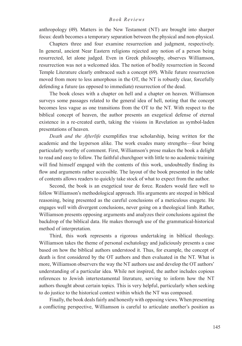anthropology (49). Matters in the New Testament (NT) are brought into sharper focus: death becomes a temporary separation between the physical and non-physical.

Chapters three and four examine resurrection and judgment, respectively. In general, ancient Near Eastern religions rejected any notion of a person being resurrected, let alone judged. Even in Greek philosophy, observes Williamson, resurrection was not a welcomed idea. The notion of bodily resurrection in Second Temple Literature clearly embraced such a concept (69). While future resurrection moved from more to less amorphous in the OT, the NT is robustly clear, forcefully defending a future (as opposed to immediate) resurrection of the dead.

The book closes with a chapter on hell and a chapter on heaven. Williamson surveys some passages related to the general idea of hell, noting that the concept becomes less vague as one transitions from the OT to the NT. With respect to the biblical concept of heaven, the author presents an exegetical defense of eternal existence in a re-created earth, taking the visions in Revelation as symbol-laden presentations of heaven.

*Death and the Afterlife* exemplifies true scholarship, being written for the academic and the layperson alike. The work exudes many strengths—four being particularly worthy of comment. First, Williamson's prose makes the book a delight to read and easy to follow. The faithful churchgoer with little to no academic training will find himself engaged with the contents of this work, undoubtedly finding its flow and arguments rather accessible. The layout of the book presented in the table of contents allows readers to quickly take stock of what to expect from the author.

Second, the book is an exegetical tour de force. Readers would fare well to follow Williamson's methodological approach. His arguments are steeped in biblical reasoning, being presented as the careful conclusions of a meticulous exegete. He engages well with divergent conclusions, never going on a theological limb. Rather, Williamson presents opposing arguments and analyzes their conclusions against the backdrop of the biblical data. He makes thorough use of the grammatical-historical method of interpretation.

Third, this work represents a rigorous undertaking in biblical theology. Williamson takes the theme of personal eschatology and judiciously presents a case based on how the biblical authors understood it. Thus, for example, the concept of death is first considered by the OT authors and then evaluated in the NT. What is more, Williamson observers the way the NT authors use and develop the OT authors' understanding of a particular idea. While not inspired, the author includes copious references to Jewish intertestamental literature, serving to inform how the NT authors thought about certain topics. This is very helpful, particularly when seeking to do justice to the historical context within which the NT was composed.

Finally, the book deals fairly and honestly with opposing views. When presenting a conflicting perspective, Williamson is careful to articulate another's position as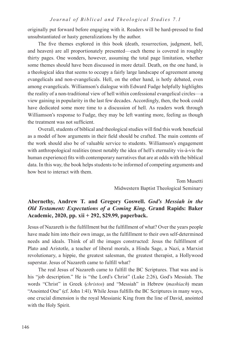originally put forward before engaging with it. Readers will be hard-pressed to find unsubstantiated or hasty generalizations by the author.

The five themes explored in this book (death, resurrection, judgment, hell, and heaven) are all proportionately presented—each theme is covered in roughly thirty pages. One wonders, however, assuming the total page limitation, whether some themes should have been discussed in more detail. Death, on the one hand, is a theological idea that seems to occupy a fairly large landscape of agreement among evangelicals and non-evangelicals. Hell, on the other hand, is hotly debated, even among evangelicals. Williamson's dialogue with Edward Fudge helpfully highlights the reality of a non-traditional view of hell within confessional evangelical circles—a view gaining in popularity in the last few decades. Accordingly, then, the book could have dedicated some more time to a discussion of hell. As readers work through Williamson's response to Fudge, they may be left wanting more, feeling as though the treatment was not sufficient.

Overall, students of biblical and theological studies will find this work beneficial as a model of how arguments in their field should be crafted. The main contents of the work should also be of valuable service to students. Williamson's engagement with anthropological realities (most notably the idea of hell's eternality vis-à-vis the human experience) fits with contemporary narratives that are at odds with the biblical data. In this way, the book helps students to be informed of competing arguments and how best to interact with them.

> Tom Musetti Midwestern Baptist Theological Seminary

# **Abernethy, Andrew T. and Gregory Goswell.** *God's Messiah in the Old Testament: Expectations of a Coming King.* **Grand Rapids: Baker Academic, 2020, pp. xii + 292, \$29.99, paperback.**

Jesus of Nazareth is the fulfillment but the fulfillment of what? Over the years people have made him into their own image, as the fulfillment to their own self-determined needs and ideals. Think of all the images constructed: Jesus the fulfillment of Plato and Aristotle, a teacher of liberal morals, a Hindu Sage, a Nazi, a Marxist revolutionary, a hippie, the greatest salesman, the greatest therapist, a Hollywood superstar. Jesus of Nazareth came to fulfill what?

The real Jesus of Nazareth came to fulfill the BC Scriptures. That was and is his "job description." He is "the Lord's Christ" (Luke 2:26), God's Messiah. The words "Christ" in Greek (*christos*) and "Messiah" in Hebrew (*mashiach*) mean "Anointed One" (cf. John 1:41). While Jesus fulfills the BC Scriptures in many ways, one crucial dimension is the royal Messianic King from the line of David, anointed with the Holy Spirit.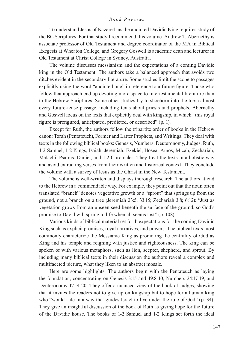To understand Jesus of Nazareth as the anointed Davidic King requires study of the BC Scriptures. For that study I recommend this volume. Andrew T. Abernethy is associate professor of Old Testament and degree coordinator of the MA in Biblical Exegesis at Wheaton College, and Gregory Goswell is academic dean and lecturer in Old Testament at Christ College in Sydney, Australia.

The volume discusses messianism and the expectations of a coming Davidic king in the Old Testament. The authors take a balanced approach that avoids two ditches evident in the secondary literature. Some studies limit the scope to passages explicitly using the word "anointed one" in reference to a future figure. Those who follow that approach end up devoting more space to intertestamental literature than to the Hebrew Scriptures. Some other studies try to shoehorn into the topic almost every future-tense passage, including texts about priests and prophets. Abernethy and Goswell focus on the texts that explicitly deal with kingship, in which "this royal figure is prefigured, anticipated, predicted, or described" (p. 1).

Except for Ruth, the authors follow the tripartite order of books in the Hebrew canon: Torah (Pentateuch), Former and Latter Prophets, and Writings. They deal with texts in the following biblical books: Genesis, Numbers, Deuteronomy, Judges, Ruth, 1-2 Samuel, 1-2 Kings, Isaiah, Jeremiah, Ezekiel, Hosea, Amos, Micah, Zechariah, Malachi, Psalms, Daniel, and 1-2 Chronicles. They treat the texts in a holistic way and avoid extracting verses from their written and historical context. They conclude the volume with a survey of Jesus as the Christ in the New Testament.

The volume is well-written and displays thorough research. The authors attend to the Hebrew in a commendable way. For example, they point out that the noun often translated "branch" denotes vegetative growth or a "sprout" that springs up from the ground, not a branch on a tree (Jeremiah 23:5; 33:15; Zechariah 3:8; 6:12): "Just as vegetation grows from an unseen seed beneath the surface of the ground, so God's promise to David will spring to life when all seems lost" (p. 108).

Various kinds of biblical material set forth expectations for the coming Davidic King such as explicit promises, royal narratives, and prayers. The biblical texts most commonly characterize the Messianic King as promoting the centrality of God as King and his temple and reigning with justice and righteousness. The king can be spoken of with various metaphors, such as lion, scepter, shepherd, and sprout. By including many biblical texts in their discussion the authors reveal a complex and multifaceted picture, what they liken to an abstract mosaic.

Here are some highlights. The authors begin with the Pentateuch as laying the foundation, concentrating on Genesis 3:15 and 49:8-10, Numbers 24:17-19, and Deuteronomy 17:14-20. They offer a nuanced view of the book of Judges, showing that it invites the readers not to give up on kingship but to hope for a human king who "would rule in a way that guides Israel to live under the rule of God" (p. 34). They give an insightful discussion of the book of Ruth as giving hope for the future of the Davidic house. The books of 1-2 Samuel and 1-2 Kings set forth the ideal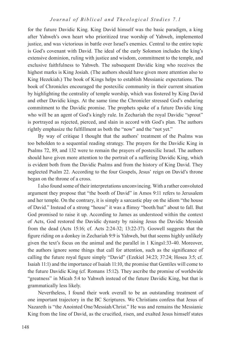for the future Davidic King. King David himself was the basic paradigm, a king after Yahweh's own heart who prioritized true worship of Yahweh, implemented justice, and was victorious in battle over Israel's enemies. Central to the entire topic is God's covenant with David. The ideal of the early Solomon includes the king's extensive dominion, ruling with justice and wisdom, commitment to the temple, and exclusive faithfulness to Yahweh. The subsequent Davidic king who receives the highest marks is King Josiah. (The authors should have given more attention also to King Hezekiah.) The book of Kings helps to establish Messianic expectations. The book of Chronicles encouraged the postexilic community in their current situation by highlighting the centrality of temple worship, which was fostered by King David and other Davidic kings. At the same time the Chronicler stressed God's enduring commitment to the Davidic promise. The prophets spoke of a future Davidic king who will be an agent of God's kingly rule. In Zechariah the royal Davidic "sprout" is portrayed as rejected, pierced, and slain in accord with God's plan. The authors rightly emphasize the fulfillment as both the "now" and the "not yet."

By way of critique I thought that the authors' treatment of the Psalms was too beholden to a sequential reading strategy. The prayers for the Davidic King in Psalms 72, 89, and 132 were to remain the prayers of postexilic Israel. The authors should have given more attention to the portrait of a suffering Davidic King, which is evident both from the Davidic Psalms and from the history of King David. They neglected Psalm 22. According to the four Gospels, Jesus' reign on David's throne began on the throne of a cross.

I also found some of their interpretations unconvincing. With a rather convoluted argument they propose that "the booth of David" in Amos 9:11 refers to Jerusalem and her temple. On the contrary, it is simply a sarcastic play on the idiom "the house of David." Instead of a strong "house" it was a flimsy "booth/hut" about to fall. But God promised to raise it up. According to James as understood within the context of Acts, God restored the Davidic dynasty by raising Jesus the Davidic Messiah from the dead (Acts 15:16; cf. Acts 2:24-32; 13:22-37). Goswell suggests that the figure riding on a donkey in Zechariah 9:9 is Yahweh, but that seems highly unlikely given the text's focus on the animal and the parallel in 1 Kings1:33-40. Moreover, the authors ignore some things that call for attention, such as the significance of calling the future royal figure simply "David" (Ezekiel 34:23; 37:24; Hosea 3:5; cf. Isaiah 11:1) and the importance of Isaiah 11:10, the promise that Gentiles will come to the future Davidic King (cf. Romans 15:12). They ascribe the promise of worldwide "greatness" in Micah 5:4 to Yahweh instead of the future Davidic King, but that is grammatically less likely.

Nevertheless, I found their work overall to be an outstanding treatment of one important trajectory in the BC Scriptures. We Christians confess that Jesus of Nazareth is "the Anointed One/Messiah/Christ." He was and remains the Messianic King from the line of David, as the crucified, risen, and exalted Jesus himself states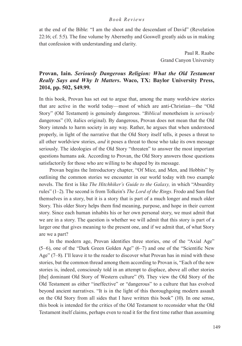at the end of the Bible: "I am the shoot and the descendant of David" (Revelation 22:16; cf. 5:5). The fine volume by Abernethy and Goswell greatly aids us in making that confession with understanding and clarity.

> Paul R. Raabe Grand Canyon University

# **Provan, Iain.** *Seriously Dangerous Religion: What the Old Testament Really Says and Why It Matters***. Waco, TX: Baylor University Press, 2014, pp. 502, \$49.99.**

In this book, Provan has set out to argue that, among the many worldview stories that are active in the world today—most of which are anti-Christian—the "Old Story" (Old Testament) is genuinely dangerous. "*Biblical* monotheism is *seriously* dangerous" (10, italics original). By dangerous, Provan does not mean that the Old Story intends to harm society in any way. Rather, he argues that when understood properly, in light of the narrative that the Old Story itself tells, it poses a threat to all other worldview stories, *and* it poses a threat to those who take its own message seriously. The ideologies of the Old Story "threaten" to answer the most important questions humans ask. According to Provan, the Old Story answers those questions satisfactorily for those who are willing to be shaped by its message.

Provan begins the Introductory chapter, "Of Mice, and Men, and Hobbits" by outlining the common stories we encounter in our world today with two example novels. The first is like *The Hitchhiker's Guide to the Galaxy,* in which "Absurdity rules" (1–2). The second is from Tolkein's *The Lord of the Rings*. Frodo and Sam find themselves in a story, but it is a story that is part of a much longer and much older Story. This older Story helps them find meaning, purpose, and hope in their current story. Since each human inhabits his or her own personal story, we must admit that we are in a story. The question is whether we will admit that this story is part of a larger one that gives meaning to the present one, and if we admit that, of what Story are we a part?

In the modern age, Provan identifies three stories, one of the "Axial Age" (5–6), one of the "Dark Green Golden Age" (6–7) and one of the "Scientific New Age" (7–8). I'll leave it to the reader to discover what Provan has in mind with these stories, but the common thread among them according to Provan is, "Each of the new stories is, indeed, consciously told in an attempt to displace, above all other stories [the] dominant Old Story of Western culture" (9). They view the Old Story of the Old Testament as either "ineffective" or "dangerous" to a culture that has evolved beyond ancient narratives. "It is in the light of this thoroughgoing modern assault on the Old Story from all sides that I have written this book" (10). In one sense, this book is intended for the critics of the Old Testament to reconsider what the Old Testament itself claims, perhaps even to read it for the first time rather than assuming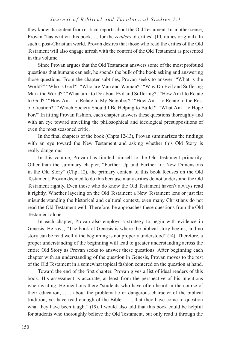they know its content from critical reports about the Old Testament. In another sense, Provan "has written this book,…, for the *readers* of critics" (10, italics original). In such a post-Christian world, Provan desires that those who read the critics of the Old Testament will also engage afresh with the content of the Old Testament as presented in this volume.

Since Provan argues that the Old Testament answers some of the most profound questions that humans can ask, he spends the bulk of the book asking and answering those questions. From the chapter subtitles, Provan seeks to answer: "What is the World?" "Who is God?" "Who are Man and Woman?" "Why Do Evil and Suffering Mark the World?" "What am I to Do about Evil and Suffering?" "How Am I to Relate to God?" "How Am I to Relate to My Neighbor?" "How Am I to Relate to the Rest of Creation?" "Which Society Should I Be Helping to Build?" "What Am I to Hope For?" In fitting Provan fashion, each chapter answers these questions thoroughly and with an eye toward unveiling the philosophical and ideological presuppositions of even the most seasoned critic.

In the final chapters of the book (Chpts 12-13), Provan summarizes the findings with an eye toward the New Testament and asking whether this Old Story is really dangerous.

In this volume, Provan has limited himself to the Old Testament primarily. Other than the summary chapter, "Further Up and Further In: New Dimensions in the Old Story" (Chpt 12), the primary content of this book focuses on the Old Testament. Provan decided to do this because many critics do not understand the Old Testament rightly. Even those who do know the Old Testament haven't always read it rightly. Whether layering on the Old Testament a New Testament lens or just flat misunderstanding the historical and cultural context, even many Christians do not read the Old Testament well. Therefore, he approaches these questions from the Old Testament alone.

In each chapter, Provan also employs a strategy to begin with evidence in Genesis. He says, "The book of Genesis is where the biblical story begins, and no story can be read well if the beginning is not properly understood" (14). Therefore, a proper understanding of the beginning will lead to greater understanding across the entire Old Story as Provan seeks to answer these questions. After beginning each chapter with an understanding of the question in Genesis, Provan moves to the rest of the Old Testament in a somewhat topical fashion centered on the question at hand.

Toward the end of the first chapter, Provan gives a list of ideal readers of this book. His assessment is accurate, at least from the perspective of his intentions when writing. He mentions there "students who have often heard in the course of their education, … , about the problematic or dangerous character of the biblical tradition, yet have read enough of the Bible, … , that they have come to question what they have been taught" (19). I would also add that this book could be helpful for students who thoroughly believe the Old Testament, but only read it through the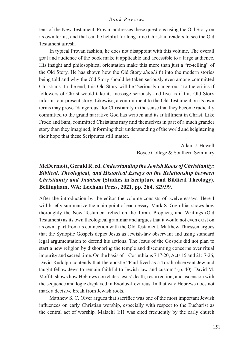lens of the New Testament. Provan addresses these questions using the Old Story on its own terms, and that can be helpful for long-time Christian readers to see the Old Testament afresh.

In typical Provan fashion, he does not disappoint with this volume. The overall goal and audience of the book make it applicable and accessible to a large audience. His insight and philosophical orientation make this more than just a "re-telling" of the Old Story. He has shown how the Old Story *should* fit into the modern stories being told and why the Old Story should be taken seriously even among committed Christians. In the end, this Old Story will be "seriously dangerous" to the critics if followers of Christ would take its message seriously and live as if this Old Story informs our present story. Likewise, a commitment to the Old Testament on its own terms may prove "dangerous" for Christianity in the sense that they become radically committed to the grand narrative God has written and its fulfillment in Christ. Like Frodo and Sam, committed Christians may find themselves in part of a much grander story than they imagined, informing their understanding of the world and heightening their hope that these Scriptures still matter.

> Adam J. Howell Boyce College & Southern Seminary

# **McDermott, Gerald R. ed.** *Understanding the Jewish Roots of Christianity: Biblical, Theological, and Historical Essays on the Relationship between Christianity and Judaism* **(Studies in Scripture and Biblical Theology). Bellingham, WA: Lexham Press, 2021, pp. 264, \$29.99.**

After the introduction by the editor the volume consists of twelve essays. Here I will briefly summarize the main point of each essay. Mark S. Gignilliat shows how thoroughly the New Testament relied on the Torah, Prophets, and Writings (Old Testament) as its own theological grammar and argues that it would not even exist on its own apart from its connection with the Old Testament. Matthew Thiessen argues that the Synoptic Gospels depict Jesus as Jewish-law observant and using standard legal argumentation to defend his actions. The Jesus of the Gospels did not plan to start a new religion by dishonoring the temple and discounting concerns over ritual impurity and sacred time. On the basis of 1 Corinthians 7:17-20, Acts 15 and 21:17-26, David Rudolph contends that the apostle "Paul lived as a Torah-observant Jew and taught fellow Jews to remain faithful to Jewish law and custom" (p. 40). David M. Moffitt shows how Hebrews correlates Jesus' death, resurrection, and ascension with the sequence and logic displayed in Exodus-Leviticus. In that way Hebrews does not mark a decisive break from Jewish roots.

Matthew S. C. Olver argues that sacrifice was one of the most important Jewish influences on early Christian worship, especially with respect to the Eucharist as the central act of worship. Malachi 1:11 was cited frequently by the early church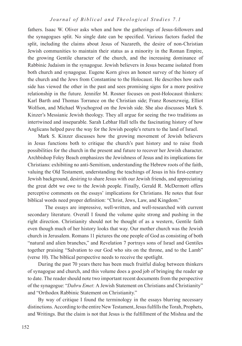fathers. Isaac W. Oliver asks when and how the gatherings of Jesus-followers and the synagogues split. No single date can be specified. Various factors fueled the split, including the claims about Jesus of Nazareth, the desire of non-Christian Jewish communities to maintain their status as a minority in the Roman Empire, the growing Gentile character of the church, and the increasing dominance of Rabbinic Judaism in the synagogue. Jewish believers in Jesus became isolated from both church and synagogue. Eugene Korn gives an honest survey of the history of the church and the Jews from Constantine to the Holocaust. He describes how each side has viewed the other in the past and sees promising signs for a more positive relationship in the future. Jennifer M. Rosner focuses on post-Holocaust thinkers: Karl Barth and Thomas Torrance on the Christian side; Franz Rosenzweig, Elliot Wolfson, and Michael Wyschogrod on the Jewish side. She also discusses Mark S. Kinzer's Messianic Jewish theology. They all argue for seeing the two traditions as intertwined and inseparable. Sarah Lebhar Hall tells the fascinating history of how Anglicans helped pave the way for the Jewish people's return to the land of Israel.

Mark S. Kinzer discusses how the growing movement of Jewish believers in Jesus functions both to critique the church's past history and to raise fresh possibilities for the church in the present and future to recover her Jewish character. Archbishop Foley Beach emphasizes the Jewishness of Jesus and its implications for Christians: exhibiting no anti-Semitism, understanding the Hebrew roots of the faith, valuing the Old Testament, understanding the teachings of Jesus in his first-century Jewish background, desiring to share Jesus with our Jewish friends, and appreciating the great debt we owe to the Jewish people. Finally, Gerald R. McDermott offers perceptive comments on the essays' implications for Christians. He notes that four biblical words need proper definition: "Christ, Jews, Law, and Kingdom."

The essays are impressive, well-written, and well-researched with current secondary literature. Overall I found the volume quite strong and pushing in the right direction. Christianity should not be thought of as a western, Gentile faith even though much of her history looks that way. Our mother church was the Jewish church in Jerusalem. Romans 11 pictures the one people of God as consisting of both "natural and alien branches," and Revelation 7 portrays sons of Israel and Gentiles together praising "Salvation to our God who sits on the throne, and to the Lamb" (verse 10). The biblical perspective needs to receive the spotlight.

During the past 70 years there has been much fruitful dialog between thinkers of synagogue and church, and this volume does a good job of bringing the reader up to date. The reader should note two important recent documents from the perspective of the synagogue: "*Dabru Emet*: A Jewish Statement on Christians and Christianity" and "Orthodox Rabbinic Statement on Christianity."

By way of critique I found the terminology in the essays blurring necessary distinctions. According to the entire New Testament, Jesus fulfills the Torah, Prophets, and Writings. But the claim is not that Jesus is the fulfillment of the Mishna and the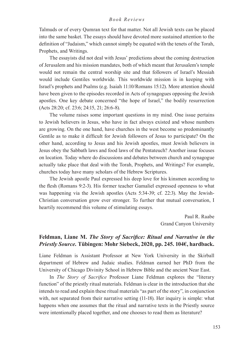Talmuds or of every Qumran text for that matter. Not all Jewish texts can be placed into the same basket. The essays should have devoted more sustained attention to the definition of "Judaism," which cannot simply be equated with the tenets of the Torah, Prophets, and Writings.

The essayists did not deal with Jesus' predictions about the coming destruction of Jerusalem and his mission mandates, both of which meant that Jerusalem's temple would not remain the central worship site and that followers of Israel's Messiah would include Gentiles worldwide. This worldwide mission is in keeping with Israel's prophets and Psalms (e.g. Isaiah 11:10/Romans 15:12). More attention should have been given to the episodes recorded in Acts of synagogues opposing the Jewish apostles. One key debate concerned "the hope of Israel," the bodily resurrection (Acts 28:20; cf. 23:6; 24:15, 21; 26:6-8).

The volume raises some important questions in my mind. One issue pertains to Jewish believers in Jesus, who have in fact always existed and whose numbers are growing. On the one hand, have churches in the west become so predominantly Gentile as to make it difficult for Jewish followers of Jesus to participate? On the other hand, according to Jesus and his Jewish apostles, must Jewish believers in Jesus obey the Sabbath laws and food laws of the Pentateuch? Another issue focuses on location. Today where do discussions and debates between church and synagogue actually take place that deal with the Torah, Prophets, and Writings? For example, churches today have many scholars of the Hebrew Scriptures.

The Jewish apostle Paul expressed his deep love for his kinsmen according to the flesh (Romans 9:2-3). His former teacher Gamaliel expressed openness to what was happening via the Jewish apostles (Acts 5:34-39; cf. 22:3). May the Jewish-Christian conversation grow ever stronger. To further that mutual conversation, I heartily recommend this volume of stimulating essays.

> Paul R. Raabe Grand Canyon University

# **Feldman, Liane M.** *The Story of Sacrifice: Ritual and Narrative in the Priestly Source.* **Tübingen: Mohr Siebeck, 2020, pp. 245. 104€, hardback.**

Liane Feldman is Assistant Professor at New York University in the Skirball department of Hebrew and Judaic studies. Feldman earned her PhD from the University of Chicago Divinity School in Hebrew Bible and the ancient Near East.

In *The Story of Sacrifice* Professor Liane Feldman explores the "literary function" of the priestly ritual materials. Feldman is clear in the introduction that she intends to read and explain these ritual materials "as part of the story", in conjunction with, not separated from their narrative setting (11-18). Her inquiry is simple: what happens when one assumes that the ritual and narrative texts in the Priestly source were intentionally placed together, and one chooses to read them as literature?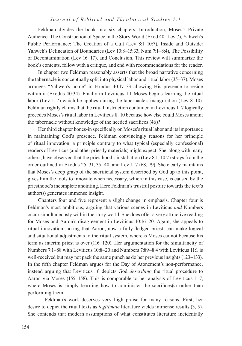Feldman divides the book into six chapters: Introduction, Moses's Private Audience: The Construction of Space in the Story World (Exod 40–Lev 7), Yahweh's Public Performance: The Creation of a Cult (Lev 8:1–10:7), Inside and Outside: Yahweh's Delineation of Boundaries (Lev 10:8–15:33; Num 7:1–8:4), The Possibility of Decontamination (Lev 16–17), and Conclusion. This review will summarize the book's contents, follow with a critique, and end with recommendations for the reader.

In chapter two Feldman reasonably asserts that the broad narrative concerning the tabernacle is conceptually split into physical labor and ritual labor (35–37). Moses arranges "Yahweh's home" in Exodus 40:17–33 allowing His presence to reside within it (Exodus 40:34). Finally in Leviticus 1:1 Moses begins learning the ritual labor (Lev 1–7) which he applies during the tabernacle's inauguration (Lev 8–10). Feldman rightly claims that the ritual instruction contained in Leviticus 1–7 logically precedes Moses's ritual labor in Leviticus 8–10 because how else could Moses anoint the tabernacle without knowledge of the needed sacrifices (46)?

Her third chapter hones-in specifically on Moses's ritual labor and its importance in maintaining God's presence. Feldman convincingly reasons for her principle of ritual innovation: a principle contrary to what typical (especially confessional) readers of Leviticus (and other priestly materials) might expect. She, along with many others, have observed that the priesthood's installation (Lev 8:1–10:7) strays from the order outlined in Exodus 25–31, 35–40, and Lev 1–7 (68, 79). She clearly maintains that Moses's deep grasp of the sacrificial system described by God up to this point, gives him the tools to innovate when necessary, which in this case, is caused by the priesthood's incomplete anointing. Here Feldman's trustful posture towards the text's author(s) generates immense insight.

Chapters four and five represent a slight change in emphasis. Chapter four is Feldman's most ambitious, arguing that various scenes in Leviticus *and* Numbers occur simultaneously within the story world. She does offer a very attractive reading for Moses and Aaron's disagreement in Leviticus 10:16–20. Again, she appeals to ritual innovation, noting that Aaron, now a fully-fledged priest, can make logical and situational adjustments to the ritual system, whereas Moses cannot because his term as interim priest is over (116–120). Her argumentation for the simultaneity of Numbers 7:1–88 with Leviticus 10:8–20 and Numbers 7:89–8:4 with Leviticus 11:1 is well-received but may not pack the same punch as do her previous insights (123–133). In the fifth chapter Feldman argues for the Day of Atonement's non-performance, instead arguing that Leviticus 16 depicts God *describing* the ritual procedure to Aaron via Moses (155–158). This is comparable to her analysis of Leviticus 1–7, where Moses is simply learning how to administer the sacrifices(s) rather than performing them.

Feldman's work deserves very high praise for many reasons. First, her desire to depict the ritual texts as *legitimate* literature yields immense results (3, 5). She contends that modern assumptions of what constitutes literature incidentally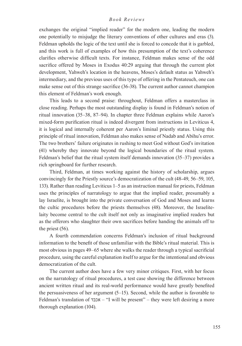exchanges the original "implied reader" for the modern one, leading the modern one potentially to misjudge the literary conventions of other cultures and eras (3). Feldman upholds the logic of the text until she is forced to concede that it is garbled, and this work is full of examples of how this presumption of the text's coherence clarifies otherwise difficult texts. For instance, Feldman makes sense of the odd sacrifice offered by Moses in Exodus 40:29 arguing that through the current plot development, Yahweh's location in the heavens, Moses's default status as Yahweh's intermediary, and the previous uses of this type of offering in the Pentateuch, one can make sense out of this strange sacrifice (36-38). The current author cannot champion this element of Feldman's work enough.

This leads to a second praise: throughout, Feldman offers a masterclass in close reading. Perhaps the most outstanding display is found in Feldman's notion of ritual innovation (35–38, 87–94). In chapter three Feldman explains while Aaron's mixed-form purification ritual is indeed divergent from instructions in Leviticus 4, it is logical and internally coherent per Aaron's liminal priestly status. Using this principle of ritual innovation, Feldman also makes sense of Nadab and Abihu's error. The two brothers' failure originates in rushing to meet God without God's invitation (41) whereby they innovate beyond the logical boundaries of the ritual system. Feldman's belief that the ritual system itself demands innovation (35–37) provides a rich springboard for further research.

Third, Feldman, at times working against the history of scholarship, argues convincingly for the Priestly source's democratization of the cult (48-49, 56–59, 105, 133). Rather than reading Leviticus 1–5 as an instruction manual for priests, Feldman uses the principles of narratology to argue that the implied reader, presumably a lay Israelite, is brought into the private conversation of God and Moses and learns the cultic procedures before the priests themselves (48). Moreover, the Israelitelaity become central to the cult itself not only as imaginative implied readers but as the offerors who slaughter their own sacrifices before handing the animals off to the priest (56).

A fourth commendation concerns Feldman's inclusion of ritual background information to the benefit of those unfamiliar with the Bible's ritual material. This is most obvious in pages 49–65 where she walks the reader through a typical sacrificial procedure, using the careful explanation itself to argue for the intentional and obvious democratization of the cult.

The current author does have a few very minor critiques. First, with her focus on the narratology of ritual procedures, a test case showing the difference between ancient written ritual and its real-world performance would have greatly benefited the persuasiveness of her argument (5–15). Second, while the author is favorable to Feldman's translation of אכבד" – I will be present" – they were left desiring a more thorough explanation (104).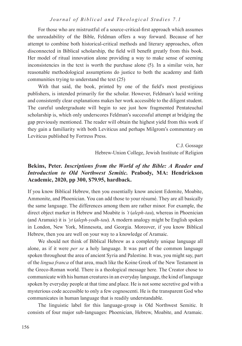For those who are mistrustful of a source-critical-first approach which assumes the unreadability of the Bible, Feldman offers a way forward. Because of her attempt to combine both historical-critical methods and literary approaches, often disconnected in Biblical scholarship, the field will benefit greatly from this book. Her model of ritual innovation alone providing a way to make sense of seeming inconsistencies in the text is worth the purchase alone (5). In a similar vein, her reasonable methodological assumptions do justice to both the academy and faith communities trying to understand the text (25)

With that said, the book, printed by one of the field's most prestigious publishers, is intended primarily for the scholar. However, Feldman's lucid writing and consistently clear explanations makes her work accessible to the diligent student. The careful undergraduate will begin to see just how fragmented Pentateuchal scholarship is, which only underscores Feldman's successful attempt at bridging the gap previously mentioned. The reader will obtain the highest yield from this work if they gain a familiarity with both Leviticus and perhaps Milgrom's commentary on Leviticus published by Fortress Press.

> C.J. Gossage Hebrew-Union College, Jewish Institute of Religion

# **Bekins, Peter.** *Inscriptions from the World of the Bible: A Reader and Introduction to Old Northwest Semitic.* **Peabody, MA: Hendrickson Academic, 2020, pp 300, \$79.95, hardback.**

If you know Biblical Hebrew, then you essentially know ancient Edomite, Moabite, Ammonite, and Phoenician. You can add those to your résumé. They are all basically the same language. The differences among them are rather minor. For example, the direct object marker in Hebrew and Moabite is *'t* (*aleph-tau*), whereas in Phoenician (and Aramaic) it is *'yt* (*aleph-yodh-tau*). A modern analogy might be English spoken in London, New York, Minnesota, and Georgia. Moreover, if you know Biblical Hebrew, then you are well on your way to a knowledge of Aramaic.

We should not think of Biblical Hebrew as a completely unique language all alone, as if it were *per se* a holy language. It was part of the common language spoken throughout the area of ancient Syria and Palestine. It was, you might say, part of the *lingua franca* of that area, much like the Koine Greek of the New Testament in the Greco-Roman world. There is a theological message here. The Creator chose to communicate with his human creatures in an everyday language, the kind of language spoken by everyday people at that time and place. He is not some secretive god with a mysterious code accessible to only a few cognoscenti. He is the transparent God who communicates in human language that is readily understandable.

The linguistic label for this language-group is Old Northwest Semitic. It consists of four major sub-languages: Phoenician, Hebrew, Moabite, and Aramaic.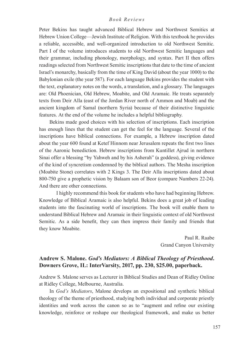Peter Bekins has taught advanced Biblical Hebrew and Northwest Semitics at Hebrew Union College—Jewish Institute of Religion. With this textbook he provides a reliable, accessible, and well-organized introduction to old Northwest Semitic. Part I of the volume introduces students to old Northwest Semitic languages and their grammar, including phonology, morphology, and syntax. Part II then offers readings selected from Northwest Semitic inscriptions that date to the time of ancient Israel's monarchy, basically from the time of King David (about the year 1000) to the Babylonian exile (the year 587). For each language Bekins provides the student with the text, explanatory notes on the words, a translation, and a glossary. The languages are: Old Phoenician, Old Hebrew, Moabite, and Old Aramaic. He treats separately texts from Deir Alla (east of the Jordan River north of Ammon and Moab) and the ancient kingdom of Samal (northern Syria) because of their distinctive linguistic features. At the end of the volume he includes a helpful bibliography.

Bekins made good choices with his selection of inscriptions. Each inscription has enough lines that the student can get the feel for the language. Several of the inscriptions have biblical connections. For example, a Hebrew inscription dated about the year 600 found at Ketef Hinnom near Jerusalem repeats the first two lines of the Aaronic benediction. Hebrew inscriptions from Kuntillet Ajrud in northern Sinai offer a blessing "by Yahweh and by his Asherah" (a goddess), giving evidence of the kind of syncretism condemned by the biblical authors. The Mesha inscription (Moabite Stone) correlates with 2 Kings 3. The Deir Alla inscriptions dated about 800-750 give a prophetic vision by Balaam son of Beor (compare Numbers 22-24). And there are other connections.

I highly recommend this book for students who have had beginning Hebrew. Knowledge of Biblical Aramaic is also helpful. Bekins does a great job of leading students into the fascinating world of inscriptions. The book will enable them to understand Biblical Hebrew and Aramaic in their linguistic context of old Northwest Semitic. As a side benefit, they can then impress their family and friends that they know Moabite.

> Paul R. Raabe Grand Canyon University

# **Andrew S. Malone.** *God's Mediators: A Biblical Theology of Priesthood***. Downers Grove, IL: InterVarsity, 2017, pp. 230, \$25.00, paperback.**

Andrew S. Malone serves as Lecturer in Biblical Studies and Dean of Ridley Online at Ridley College, Melbourne, Australia.

In *God's Mediators*, Malone develops an expositional and synthetic biblical theology of the theme of priesthood, studying both individual and corporate priestly identities and work across the canon so as to "augment and refine our existing knowledge, reinforce or reshape our theological framework, and make us better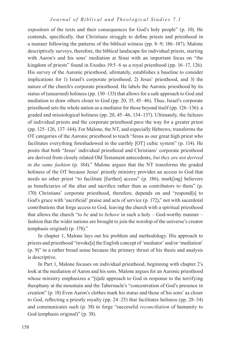expositors of the texts and their consequences for God's holy people" (p. 10). He contends, specifically, that Christians struggle to define priests and priesthood in a manner following the patterns of the biblical witness (pp. 8–9; 186–187). Malone descriptively surveys, therefore, the biblical landscape for individual priests, starting with Aaron's and his sons' mediation at Sinai with an important focus on "the kingdom of priests" found in Exodus 19:5–6 as a royal priesthood (pp. 16–17, 126). His survey of the Aaronic priesthood, ultimately, establishes a baseline to consider implications for 1) Israel's corporate priesthood, 2) Jesus' priesthood, and 3) the nature of the church's corporate priesthood. He labels the Aaronic priesthood by its status of (unearned) holiness (pp. 130–133) that allows for a safe approach to God and mediation to draw others closer to God (pp. 20, 35, 45–46). Thus, Israel's corporate priesthood sets the whole nation as a mediator for those beyond itself (pp. 126–136): a graded and missiological holiness (pp. 20, 45–46, 134–137). Ultimately, the failures of individual priests and the corporate priesthood pave the way for a greater priest (pp. 125–126, 137–144). For Malone, the NT, and especially Hebrews, transforms the OT categories of the Aaronic priesthood to teach "Jesus as our great high priest who facilitates everything foreshadowed in the earthly [OT] cultic system" (p. 114). He posits that both "Jesus' individual priesthood and Christians' corporate priesthood are derived from closely related Old Testament antecedents, *but they are not derived in the same fashion* (p. 184)." Malone argues that the NT transforms the graded holiness of the OT because Jesus' priestly ministry provides an access to God that needs no other priest "to facilitate [further] access" (p. 186), mark[ing] believers as beneficiaries of the altar and sacrifice rather than as contributors to them" (p. 170) Christians' corporate priesthood, therefore, depends on and "respond[s] to God's grace with 'sacrificial' praise and acts of service (p. 172)," not with sacerdotal contributions that forge access to God, leaving the church with a spiritual priesthood that allows the church "to *be* and to *behave* in such a holy – God-worthy manner – fashion that the wider nations are brought to join the worship of the universe's creator (emphasis original) (p. 178)."

In chapter 1, Malone lays out his problem and methodology. His approach to priests and priesthood "invoke[s] the English concept of 'mediator' and/or 'mediation' (p. 9)" in a rather broad sense because the primary thrust of his thesis and analysis is descriptive.

In Part 1, Malone focuses on individual priesthood, beginning with chapter 2's look at the mediation of Aaron and his sons. Malone argues for an Aaronic priesthood whose ministry emphasizes a "[s]afe approach to God in response to the terrifying theophany at the mountain and the Tabernacle's "concentration of God's presence in creation" (p. 18) Even Aaron's clothes mark his status and those of his sons' as closer to God, reflecting a priestly royalty (pp. 24–25) that facilitates holiness (pp. 28–34) and communicates such (p. 38) to forge "successful *reconciliation* of humanity to God (emphasis original)" (p. 38).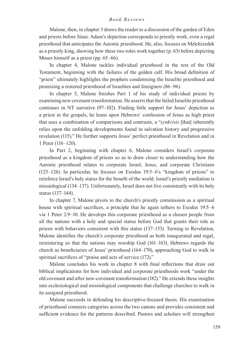Malone, then, in chapter 3 draws the reader to a discussion of the garden of Eden and priests before Sinai. Adam's depiction corresponds to priestly work, even a regal priesthood that anticipates the Aaronic priesthood. He, also, focuses on Melchizedek as a priestly king, showing how these two roles work together (p. 63) before depicting Moses himself as a priest (pp. 65–66).

In chapter 4, Malone tackles individual priesthood in the rest of the Old Testament, beginning with the failures of the golden calf. His broad definition of "priest" ultimately highlights the prophets condemning the Israelite priesthood and promising a restored priesthood of Israelites and foreigners (86–96).

In chapter 5, Malone finishes Part 1 of his study of individual priests by examining new covenant transformation. He asserts that the failed Israelite priesthood continues in NT narrative (97–102). Finding little support for Jesus' depiction as a priest in the gospels, he leans upon Hebrews' confession of Jesus as high priest that uses a combination of comparisons and contrasts, a "*synkrisis* [that] inherently relies upon the unfolding developments found in salvation history and progressive revelation (115)." He further supports Jesus' perfect priesthood in Revelation and in 1 Peter (116–120).

In Part 2, beginning with chapter 6, Malone considers Israel's corporate priesthood as a kingdom of priests so as to draw closer to understanding how the Aaronic priesthood relates to corporate Israel, Jesus, and corporate Christians (125–126). In particular, he focuses on Exodus 19:5–6's "kingdom of priests" to reinforce Israel's holy status for the benefit of the world. Israel's priestly mediation is missiological (134–137). Unfortunately, Israel does not live consistently with its holy status (137–144).

In chapter 7, Malone pivots to the church's priestly commission as a spiritual house with spiritual sacrifices, a principle that he again tethers to Exodus 19:5–6 via 1 Peter 2:9–10. He develops this corporate priesthood as a chosen people from all the nations with a holy and special status before God that grants their role as priests with behaviors consistent with this status (137–153). Turning to Revelation, Malone identifies the church's corporate priesthood as both inaugurated and regal, ministering so that the nations may worship God (161–163). Hebrews regards the church as beneficiaries of Jesus' priesthood (164–170), approaching God to walk in spiritual sacrifices of "praise and acts of service (172)."

Malone concludes his work in chapter 8 with final reflections that draw out biblical implications for how individual and corporate priesthoods work "under the old covenant and after new-covenant transformation (182)." He extends these insights into ecclesiological and missiological components that challenge churches to walk in its assigned priesthood.

Malone succeeds in defending his descriptive-focused thesis. His examination of priesthood connects categories across the two canons and provides consistent and sufficient evidence for the patterns described. Pastors and scholars will strengthen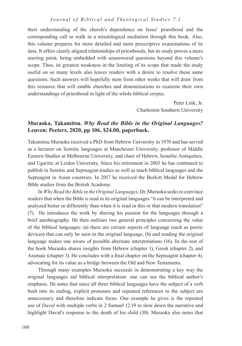their understanding of the church's dependence on Jesus' priesthood and the corresponding call to walk in a missiological mediation through this book. Also, this volume prepares for more detailed and more prescriptive examinations of its data. It offers clearly aligned relationships of priesthoods, but its study proves a mere starting point, being embedded with unanswered questions beyond this volume's scope. Thus, its greatest weakness in the limiting of its scope that made the study useful on so many levels also leaves readers with a desire to resolve these same questions. Such answers will hopefully stem from other works that will draw from this resource that will enable churches and denominations to examine their own understandings of priesthood in light of the whole biblical corpus.

> Peter Link, Jr. Charleston Southern University

# **Muraoka, Takamitsu.** *Why Read the Bible in the Original Languages?* **Leuven: Peeters, 2020, pp 106, \$24.00, paperback.**

Takamitsu Muraoka received a PhD from Hebrew University in 1970 and has served as a lecturer on Semitic languages at Manchester University, professor of Middle Eastern Studies at Melbourne University, and chair of Hebrew, Israelite Antiquities, and Ugaritic at Leiden University. Since his retirement in 2003 he has continued to publish in Semitic and Septuagint studies as well as teach biblical languages and the Septuagint in Asian countries. In 2017 he received the Burkitt Medal for Hebrew Bible studies from the British Academy.

In *Why Read the Bible in the Original Languages*, Dr. Muraoka seeks to convince readers that when the Bible is read in its original languages "it can be interpreted and analyzed better or differently than when it is read in this or that modern translation" (7). He introduces the work by sharing his passion for the languages through a brief autobiography. He then outlines two general principles concerning the value of the biblical languages: (a) there are certain aspects of language (such as poetic devices) that can only be seen in the original language, (b) and reading the original language makes one aware of possible alternate interpretations (16). In the rest of the book Muraoka shares insights from Hebrew (chapter 1), Greek (chapter 2), and Aramaic (chapter 3). He concludes with a final chapter on the Septuagint (chapter 4), advocating for its value as a bridge between the Old and New Testaments.

Through many examples Muraoka succeeds in demonstrating a key way the original languages aid biblical interpretation: one can see the biblical author's emphasis. He notes that since all three biblical languages have the subject of a verb built into its ending, explicit pronouns and repeated references to the subject are unnecessary and therefore indicate focus. One example he gives is the repeated use of *David* with multiple verbs in 2 Samuel 12:19 to slow down the narrative and highlight David's response to the death of his child (30). Muraoka also notes that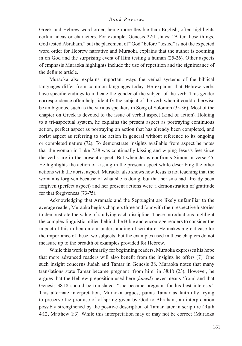Greek and Hebrew word order, being more flexible than English, often highlights certain ideas or characters. For example, Genesis 22:1 states: "After these things, God tested Abraham," but the placement of "God" before "tested" is not the expected word order for Hebrew narrative and Muraoka explains that the author is zooming in on God and the surprising event of Him testing a human (25-26). Other aspects of emphasis Muraoka highlights include the use of repetition and the significance of the definite article.

Muraoka also explains important ways the verbal systems of the biblical languages differ from common languages today. He explains that Hebrew verbs have specific endings to indicate the gender of the subject of the verb. This gender correspondence often helps identify the subject of the verb when it could otherwise be ambiguous, such as the various speakers in Song of Solomon (35-36). Most of the chapter on Greek is devoted to the issue of verbal aspect (kind of action). Holding to a tri-aspectual system, he explains the present aspect as portraying continuous action, perfect aspect as portraying an action that has already been completed, and aorist aspect as referring to the action in general without reference to its ongoing or completed nature (72). To demonstrate insights available from aspect he notes that the woman in Luke 7:38 was continually kissing and wiping Jesus's feet since the verbs are in the present aspect. But when Jesus confronts Simon in verse 45, He highlights the action of kissing in the present aspect while describing the other actions with the aorist aspect. Muraoka also shows how Jesus is not teaching that the woman is forgiven because of what she is doing, but that her sins had already been forgiven (perfect aspect) and her present actions were a demonstration of gratitude for that forgiveness (73-75).

Acknowledging that Aramaic and the Septuagint are likely unfamiliar to the average reader, Muraoka begins chapters three and four with their respective histories to demonstrate the value of studying each discipline. These introductions highlight the complex linguistic milieu behind the Bible and encourage readers to consider the impact of this milieu on our understanding of scripture. He makes a great case for the importance of these two subjects, but the examples used in these chapters do not measure up to the breadth of examples provided for Hebrew.

While this work is primarily for beginning readers, Muraoka expresses his hope that more advanced readers will also benefit from the insights he offers (7). One such insight concerns Judah and Tamar in Genesis 38. Muraoka notes that many translations state Tamar became pregnant 'from him' in 38:18 (23). However, he argues that the Hebrew preposition used here (*lamed*) never means 'from' and that Genesis 38:18 should be translated: "she became pregnant for his best interests." This alternate interpretation, Muraoka argues, paints Tamar as faithfully trying to preserve the promise of offspring given by God to Abraham, an interpretation possibly strengthened by the positive description of Tamar later in scripture (Ruth 4:12, Matthew 1:3). While this interpretation may or may not be correct (Muraoka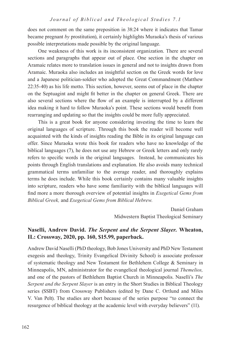does not comment on the same preposition in 38:24 where it indicates that Tamar became pregnant *by* prostitution), it certainly highlights Muraoka's thesis of various possible interpretations made possible by the original language.

One weakness of this work is its inconsistent organization. There are several sections and paragraphs that appear out of place. One section in the chapter on Aramaic relates more to translation issues in general and not to insights drawn from Aramaic. Muraoka also includes an insightful section on the Greek words for love and a Japanese politician-soldier who adopted the Great Commandment (Matthew 22:35-40) as his life motto. This section, however, seems out of place in the chapter on the Septuagint and might fit better in the chapter on general Greek. There are also several sections where the flow of an example is interrupted by a different idea making it hard to follow Muraoka's point. These sections would benefit from rearranging and updating so that the insights could be more fully appreciated.

This is a great book for anyone considering investing the time to learn the original languages of scripture. Through this book the reader will become well acquainted with the kinds of insights reading the Bible in its original language can offer. Since Muraoka wrote this book for readers who have no knowledge of the biblical languages (7), he does not use any Hebrew or Greek letters and only rarely refers to specific words in the original languages. Instead, he communicates his points through English translations and explanation. He also avoids many technical grammatical terms unfamiliar to the average reader, and thoroughly explains terms he does include. While this book certainly contains many valuable insights into scripture, readers who have some familiarity with the biblical languages will find more a more thorough overview of potential insights in *Exegetical Gems from Biblical Greek,* and *Exegetical Gems from Biblical Hebrew.* 

> Daniel Graham Midwestern Baptist Theological Seminary

# **Naselli, Andrew David.** *The Serpent and the Serpent Slayer.* **Wheaton, IL: Crossway, 2020, pp. 160, \$15.99, paperback.**

Andrew David Naselli (PhD theology, Bob Jones University and PhD New Testament exegesis and theology, Trinity Evangelical Divinity School) is associate professor of systematic theology and New Testament for Bethlehem College & Seminary in Minneapolis, MN, administrator for the evangelical theological journal *Themelios,*  and one of the pastors of Bethlehem Baptist Church in Minneapolis. Naselli's *The Serpent and the Serpent Slayer* is an entry in the Short Studies in Biblical Theology series (SSBT) from Crossway Publishers (edited by Dane C. Ortlund and Miles V. Van Pelt). The studies are short because of the series purpose "to connect the resurgence of biblical theology at the academic level with everyday believers" (11).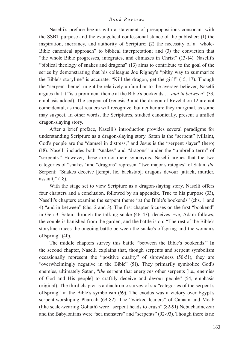Naselli's preface begins with a statement of presuppositions consonant with the SSBT purpose and the evangelical confessional stance of the publisher: (1) the inspiration, inerrancy, and authority of Scripture; (2) the necessity of a "whole-Bible canonical approach" to biblical interpretation; and (3) the conviction that "the whole Bible progresses, integrates, and climaxes in Christ" (13-14). Naselli's "biblical theology of snakes and dragons" (13) aims to contribute to the goal of the series by demonstrating that his colleague Joe Rigney's "pithy way to summarize the Bible's storyline" is accurate: "Kill the dragon, get the girl!" (15, 17). Though the "serpent theme" might be relatively unfamiliar to the average believer, Naselli argues that it "is a prominent theme at the Bible's bookends … *and in between*" (33, emphasis added). The serpent of Genesis 3 and the dragon of Revelation 12 are not coincidental, as most readers will recognize, but neither are they marginal, as some may suspect. In other words, the Scriptures, studied canonically, present a unified dragon-slaying story.

After a brief preface, Naselli's introduction provides several paradigms for understanding Scripture as a dragon-slaying story. Satan is the "serpent" (villain), God's people are the "damsel in distress," and Jesus is the "serpent slayer" (hero) (18). Naselli includes both "snakes" and "dragons" under the "umbrella term" of "serpents." However, these are not mere synonyms; Naselli argues that the two categories of "snakes" and "dragons" represent "two major strategies" of Satan, *the* Serpent: "Snakes deceive [tempt, lie, backstab]; dragons devour [attack, murder, assault]" (18).

With the stage set to view Scripture as a dragon-slaying story, Naselli offers four chapters and a conclusion, followed by an appendix. True to his purpose (33), Naselli's chapters examine the serpent theme "at the Bible's bookends" (chs. 1 and 4) "and in between" (chs. 2 and 3). The first chapter focuses on the first "bookend" in Gen 3. Satan, through the talking snake (46-47), deceives Eve, Adam follows, the couple is banished from the garden, and the battle is on: "The rest of the Bible's storyline traces the ongoing battle between the snake's offspring and the woman's offspring" (40).

The middle chapters survey this battle "between the Bible's bookends." In the second chapter, Naselli explains that, though serpents and serpent symbolism occasionally represent the "positive quality" of shrewdness (50-51), they are "overwhelmingly negative in the Bible" (51). They primarily symbolize God's enemies, ultimately Satan, "*the* serpent that energizes other serpents [i.e., enemies of God and His people] to craftily deceive and devour people" (54, emphasis original). The third chapter is a diachronic survey of six "categories of the serpent's offspring" in the Bible's symbolism (69). The exodus was a victory over Egypt's serpent-worshiping Pharoah (69-82). The "wicked leaders" of Canaan and Moab (like scale-wearing Goliath) were "serpent heads to crush" (82-91) Nebuchadnezzar and the Babylonians were "sea monsters" and "serpents" (92-93). Though there is no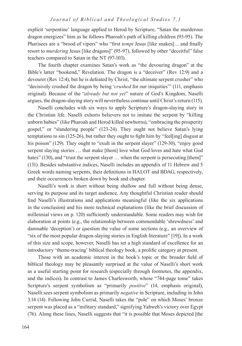explicit 'serpentine' language applied to Herod by Scripture, "Satan the murderous dragon energizes" him as he follows Pharoah's path of killing children (93-95). The Pharisees are a "brood of vipers" who "first *tempt* Jesus [like snakes]… and finally resort to *murdering* Jesus [like dragons]" (95-97), followed by other "deceitful" false teachers compared to Satan in the NT (97-103).

The fourth chapter examines Satan's work as "the devouring dragon" at the Bible's latter "bookend," Revelation. The dragon is a "deceiver" (Rev 12:9) and a devourer (Rev 12:4), but he is defeated by Christ, "the ultimate serpent crusher" who "decisively crushed the dragon by being '*crushed* for our iniquities'" (111, emphasis original). Because of the "*already but not yet*" nature of God's Kingdom, Naselli argues, the dragon-slaying story will nevertheless continue until Christ's return (115).

Naselli concludes with six ways to apply Scripture's dragon-slaying story in the Christian life. Naselli exhorts believers not to imitate the serpent by "killing unborn babies" (like Pharoah and Herod killed newborns), "embracing the prosperity gospel," or "slandering people" (123-24). They ought not believe Satan's lying temptations to sin (125-26), but rather they ought to fight him by "feel[ing] disgust at his poison" (129). They ought to "exult in the serpent slayer" (129-30), "enjoy good serpent slaying stories … that make [them] love what God loves and hate what God hates" (130), and "trust the serpent slayer ... when the serpent is persecuting [them]" (131). Besides substantive indices, Naselli includes an appendix of 11 Hebrew and 5 Greek words naming serpents, their definitions in HALOT and BDAG, respectively, and their occurrences broken down by book and chapter.

Naselli's work is short without being shallow and full without being dense, serving its purpose and its target audience. Any thoughtful Christian reader should find Naselli's illustrations and applications meaningful (like the six applications in the conclusion) and his more technical explanations (like the brief discussion of millennial views on p. 120) sufficiently understandable. Some readers may wish for elaboration at points (e.g., the relationship between commendable 'shrewdness' and damnable 'deception') or question the value of some sections (e.g., an overview of "six of the most popular dragon-slaying stories in English literature" [19]). In a work of this size and scope, however, Naselli has set a high standard of excellence for an introductory 'theme-tracing' biblical theology book, a prolific category at present.

Those with an academic interest in the book's topic or the broader field of biblical theology may be pleasantly surprised at the value of Naselli's short work as a useful starting point for research (especially through footnotes, the appendix, and the indices). In contrast to James Charlesworth, whose "744-page tome" takes Scripture's serpent symbolism as "primarily *positive*" (14, emphasis original), Naselli sees serpent symbolism as primarily *negative* in Scripture, including in John 3:14 (14). Following John Currid, Naselli takes the "pole" on which Moses' bronze serpent was placed as a "military standard," signifying Yahweh's victory over Egypt (76). Along these lines, Naselli suggests that "it is possible that Moses depicted [the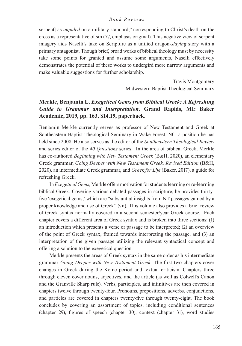serpent] as *impaled* on a military standard," corresponding to Christ's death on the cross as a representative of sin (77, emphasis original). This negative view of serpent imagery aids Naselli's take on Scripture as a unified dragon-*slaying* story with a primary antagonist. Though brief, broad works of biblical theology must by necessity take some points for granted and assume some arguments, Naselli effectively demonstrates the potential of these works to undergird more narrow arguments and make valuable suggestions for further scholarship.

> Travis Montgomery Midwestern Baptist Theological Seminary

# **Merkle, Benjamin L.** *Exegetical Gems from Biblical Greek: A Refreshing Guide to Grammar and Interpretation.* **Grand Rapids, MI: Baker Academic, 2019, pp. 163, \$14.19, paperback.**

Benjamin Merkle currently serves as professor of New Testament and Greek at Southeastern Baptist Theological Seminary in Wake Forest, NC, a position he has held since 2008. He also serves as the editor of the *Southeastern Theological Review*  and series editor of the *40 Questions* series. In the area of biblical Greek, Merkle has co-authored *Beginning with New Testament Greek* (B&H, 2020), an elementary Greek grammar, *Going Deeper with New Testament Greek, Revised Edition* (B&H, 2020), an intermediate Greek grammar, and *Greek for Life* (Baker, 2017), a guide for refreshing Greek.

In *Exegetical Gems,* Merkle offers motivation for students learning or re-learning biblical Greek. Covering various debated passages in scripture, he provides thirtyfive 'exegetical gems,' which are "substantial insights from NT passages gained by a proper knowledge and use of Greek" (vii). This volume also provides a brief review of Greek syntax normally covered in a second semester/year Greek course. Each chapter covers a different area of Greek syntax and is broken into three sections: (1) an introduction which presents a verse or passage to be interpreted; (2) an overview of the point of Greek syntax, framed towards interpreting the passage, and (3) an interpretation of the given passage utilizing the relevant syntactical concept and offering a solution to the exegetical question.

Merkle presents the areas of Greek syntax in the same order as his intermediate grammar *Going Deeper with New Testament Greek.* The first two chapters cover changes in Greek during the Koine period and textual criticism. Chapters three through eleven cover nouns, adjectives, and the article (as well as Colwell's Canon and the Granville Sharp rule). Verbs, participles, and infinitives are then covered in chapters twelve through twenty-four. Pronouns, prepositions, adverbs, conjunctions, and particles are covered in chapters twenty-five through twenty-eight. The book concludes by covering an assortment of topics, including conditional sentences (chapter 29), figures of speech (chapter 30), context (chapter 31), word studies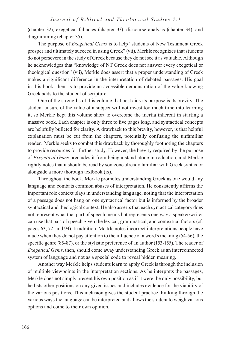(chapter 32), exegetical fallacies (chapter 33), discourse analysis (chapter 34), and diagramming (chapter 35).

The purpose of *Exegetical Gems* is to help "students of New Testament Greek prosper and ultimately succeed in using Greek" (vii). Merkle recognizes that students do not persevere in the study of Greek because they do not see it as valuable. Although he acknowledges that "knowledge of NT Greek does not answer every exegetical or theological question" (vii), Merkle does assert that a proper understanding of Greek makes a significant difference in the interpretation of debated passages. His goal in this book, then, is to provide an accessible demonstration of the value knowing Greek adds to the student of scripture.

One of the strengths of this volume that best aids its purpose is its brevity. The student unsure of the value of a subject will not invest too much time into learning it, so Merkle kept this volume short to overcome the inertia inherent in starting a massive book. Each chapter is only three to five pages long, and syntactical concepts are helpfully bulleted for clarity. A drawback to this brevity, however, is that helpful explanation must be cut from the chapters, potentially confusing the unfamiliar reader. Merkle seeks to combat this drawback by thoroughly footnoting the chapters to provide resources for further study. However, the brevity required by the purpose of *Exegetical Gems* precludes it from being a stand-alone introduction, and Merkle rightly notes that it should be read by someone already familiar with Greek syntax or alongside a more thorough textbook (ix).

Throughout the book, Merkle promotes understanding Greek as one would any language and combats common abuses of interpretation. He consistently affirms the important role context plays in understanding language, noting that the interpretation of a passage does not hang on one syntactical factor but is informed by the broader syntactical and theological context. He also asserts that each syntactical category does not represent what that part of speech means but represents one way a speaker/writer can use that part of speech given the lexical, grammatical, and contextual factors (cf. pages 63, 72, and 94). In addition, Merkle notes incorrect interpretations people have made when they do not pay attention to the influence of a word's meaning (54-56), the specific genre (85-87), or the stylistic preference of an author (153-155). The reader of *Exegetical Gems*, then, should come away understanding Greek as an interconnected system of language and not as a special code to reveal hidden meaning.

Another way Merkle helps students learn to apply Greek is through the inclusion of multiple viewpoints in the interpretation sections. As he interprets the passages, Merkle does not simply present his own position as if it were the only possibility, but he lists other positions on any given issues and includes evidence for the viability of the various positions. This inclusion gives the student practice thinking through the various ways the language can be interpreted and allows the student to weigh various options and come to their own opinion.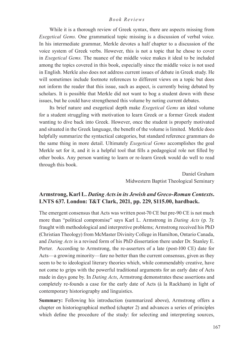While it is a thorough review of Greek syntax, there are aspects missing from *Exegetical Gems.* One grammatical topic missing is a discussion of verbal voice. In his intermediate grammar, Merkle devotes a half chapter to a discussion of the voice system of Greek verbs. However, this is not a topic that he chose to cover in *Exegetical Gems.* The nuance of the middle voice makes it ideal to be included among the topics covered in this book, especially since the middle voice is not used in English. Merkle also does not address current issues of debate in Greek study. He will sometimes include footnote references to different views on a topic but does not inform the reader that this issue, such as aspect, is currently being debated by scholars. It is possible that Merkle did not want to bog a student down with these issues, but he could have strengthened this volume by noting current debates.

Its brief nature and exegetical depth make *Exegetical Gems* an ideal volume for a student struggling with motivation to learn Greek or a former Greek student wanting to dive back into Greek. However, once the student is properly motivated and situated in the Greek language, the benefit of the volume is limited. Merkle does helpfully summarize the syntactical categories, but standard reference grammars do the same thing in more detail. Ultimately *Exegetical Gems* accomplishes the goal Merkle set for it, and it is a helpful tool that fills a pedagogical role not filled by other books. Any person wanting to learn or re-learn Greek would do well to read through this book.

> Daniel Graham Midwestern Baptist Theological Seminary

# **Armstrong, Karl L.** *Dating Acts in its Jewish and Greco-Roman Contexts***. LNTS 637. London: T&T Clark, 2021, pp. 229, \$115.00, hardback.**

The emergent consensus that Acts was written post-70 CE but pre-90 CE is not much more than "political compromise" says Karl L. Armstrong in *Dating Acts* (p. 3): fraught with methodological and interpretive problems; Armstrong received his PhD (Christian Theology) from McMaster Divinity College in Hamilton, Ontario Canada, and *Dating Acts* is a revised form of his PhD dissertation there under Dr. Stanley E. Porter. According to Armstrong, the re-asserters of a late (post-100 CE) date for Acts—a growing minority—fare no better than the current consensus, given as they seem to be to ideological literary theories which, while commendably creative, have not come to grips with the powerful traditional arguments for an early date of Acts made in days gone by. In *Dating Acts*, Armstrong demonstrates these assertions and completely re-founds a case for the early date of Acts (à la Rackham) in light of contemporary historiography and linguistics.

**Summary:** Following his introduction (summarized above), Armstrong offers a chapter on historiographical method (chapter 2) and advances a series of principles which define the procedure of the study: for selecting and interpreting sources,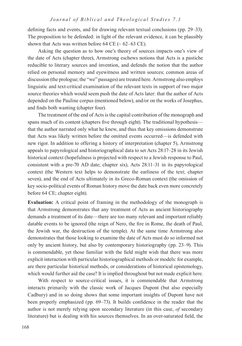defining facts and events, and for drawing relevant textual conclusions (pp. 29–33). The proposition to be defended: in light of the relevant evidence, it can be plausibly shown that Acts was written before 64 CE ( $\sim$  62–63 CE).

Asking the question as to how one's theory of sources impacts one's view of the date of Acts (chapter three), Armstrong eschews notions that Acts is a pastiche reducible to literary sources and invention, and defends the notion that the author relied on personal memory and eyewitness and written sources; common areas of discussion (the prologue; the "we" passages) are treated here. Armstrong also employs linguistic and text-critical examination of the relevant texts in support of two major source theories which would seem push the date of Acts later: that the author of Acts depended on the Pauline corpus (mentioned below), and/or on the works of Josephus, and finds both wanting (chapter four).

The treatment of the end of Acts is the capital contribution of the monograph and spans much of its content (chapters five through eight). The traditional hypothesis that the author narrated only what he knew, and thus that key omissions demonstrate that Acts was likely written before the omitted events occurred—is defended with new rigor. In addition to offering a history of interpretation (chapter 5), Armstrong appeals to papyrological and historiographical data to set Acts 28:17–28 in its Jewish historical context (hopefulness is projected with respect to a Jewish response to Paul, consistent with a pre-70 AD date; chapter six), Acts 28:11–31 in its papyrological context (the Western text helps to demonstrate the earliness of the text; chapter seven), and the end of Acts ultimately in its Greco-Roman context (the omission of key socio-political events of Roman history move the date back even more concretely before 64 CE; chapter eight).

**Evaluation:** A critical point of framing in the methodology of the monograph is that Armstrong demonstrates that any treatment of Acts as ancient historiography demands a treatment of its date—there are too many relevant and important reliably datable events to be ignored (the reign of Nero, the fire in Rome, the death of Paul, the Jewish war, the destruction of the temple). At the same time Armstrong also demonstrates that those looking to examine the date of Acts must do so informed not only by ancient history, but also by contemporary historiography (pp. 23–9). This is commendable, yet those familiar with the field might wish that there was more explicit interaction with particular historiographical methods or models: for example, are there particular historical methods, or considerations of historical epistemology, which would further aid the case? It is implied throughout but not made explicit here.

With respect to source-critical issues, it is commendable that Armstrong interacts primarily with the classic work of Jacques Dupont (but also especially Cadbury) and in so doing shows that some important insights of Dupont have not been properly emphasized (pp. 69–73). It builds confidence in the reader that the author is not merely relying upon secondary literature (in this case, *of* secondary literature) but is dealing with his sources themselves. In an over-saturated field, the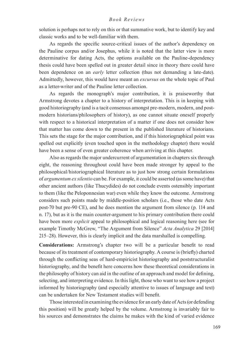solution is perhaps not to rely on this or that summative work, but to identify key and classic works and to be well-familiar with them.

As regards the specific source-critical issues of the author's dependency on the Pauline corpus and/or Josephus, while it is noted that the latter view is more determinative for dating Acts, the options available on the Pauline-dependency thesis could have been spelled out in greater detail since in theory there could have been dependence on an *early* letter collection (thus not demanding a late-date). Admittedly, however, this would have meant an *excursus* on the whole topic of Paul as a letter-writer and of the Pauline letter collection.

As regards the monograph's major contribution, it is praiseworthy that Armstrong devotes a chapter to a history of interpretation. This is in keeping with good historiography (and is a tacit consensus amongst pre-modern, modern, and postmodern historians/philosophers of history), as one cannot situate oneself properly with respect to a historical interpretation of a matter if one does not consider how that matter has come down to the present in the published literature of historians. This sets the stage for the major contribution, and if this historiographical point was spelled out explicitly (even touched upon in the methodology chapter) there would have been a sense of even greater coherence when arriving at this chapter.

Also as regards the major undercurrent of argumentation in chapters six through eight, the reasoning throughout could have been made stronger by appeal to the philosophical/historiographical literature as to just how strong certain formulations of *argumentum ex silentio* can be. For example, it could be asserted (as some have) that other ancient authors (like Thucydides) do not conclude events ostensibly important to them (like the Peloponnesian war) even while they know the outcome. Armstrong considers such points made by middle-position scholars (i.e., those who date Acts post-70 but pre-90 CE), and he does mention the argument from silence (p. 114 and n. 17), but as it is the main counter-argument to his primary contribution there could have been more *explicit* appeal to philosophical and logical reasoning here (see for example Timothy McGrew, "The Argument from Silence" *Acta Analytica* 29 [2014] 215–28). However, this is clearly implicit and the data marshalled is compelling.

**Considerations:** Armstrong's chapter two will be a particular benefit to read because of its treatment of contemporary historiography. A course is (briefly) charted through the conflicting seas of hard-empiricist historiography and poststructuralist historiography, and the benefit here concerns how these theoretical considerations in the philosophy of history can aid in the outline of an approach and model for defining, selecting, and interpreting evidence. In this light, those who want to see how a project informed by historiography (and especially attentive to issues of language and text) can be undertaken for New Testament studies will benefit.

Those interested in examining the evidence for an early date of Acts (or defending this position) will be greatly helped by the volume. Armstrong is invariably fair to his sources and demonstrates the claims he makes with the kind of varied evidence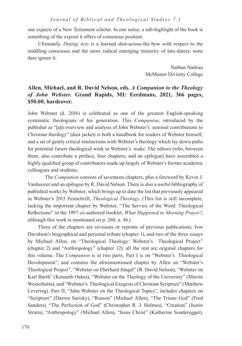one expects of a New Testament scholar. In one sense, a sub-highlight of the book is something of the exposé it offers of consensus position.

Ultimately, *Dating Acts* is a learned shot-across-the-bow with respect to the middling consensus and the more radical emerging minority of late-daters; none dare ignore it.

> Nathan Nadeau McMaster Divinity College

# **Allen, Michael, and R. David Nelson, eds.** *A Companion to the Theology of John Webster***. Grand Rapids, MI: Eerdmans, 2021, 366 pages, \$50.00, hardcover.**

John Webster (d. 2016) is celebrated as one of the greatest English-speaking systematic theologians of his generation. This *Companion*, introduced by the publisher as "[a]n overview and analysis of John Webster's seminal contributions to Christian theology" (dust jacket) is both a handbook for readers of Webster himself, and a set of gently critical interactions with Webster's theology which lay down paths for potential future theological work in Webster's wake. The editors (who, between them, also contribute a preface, four chapters, and an epilogue) have assembled a highly qualified group of contributors made up largely of Webster's former academic colleagues and students.

The *Companion* consists of seventeen chapters, plus a foreword by Kevin J. Vanhoozer and an epilogue by R. David Nelson. There is also a useful bibliography of published works by Webster, which brings up to date the list that previously appeared in Webster's 2015 Festschrift, *Theological Theology*. (This list is still incomplete, lacking the important chapter by Webster, "The Service of the Word: Theological Reflections" in the 1997 co-authored booklet, *What Happened to Morning Prayer?*, although this work is mentioned on p. 260, n. 46.)

Three of the chapters are revisions or reprints of previous publications: Ivor Davidson's biographical and personal tribute (chapter 1), and two of the three essays by Michael Allen, on "Theological Theology: Webster's Theological Project" (chapter 2) and "Anthropology" (chapter 12): all the rest are original chapters for this volume. The *Companion* is in two parts. Part I is on "Webster's Theological Development", and contains the aforementioned chapter by Allen on "Webster's Theological Project", "Webster on Eberhard Jüngel" (R. David Nelson), "Webster on Karl Barth" (Kenneth Oakes), "Webster on the Theology of the University" (Martin Westerholm), and "Webster's Theological Exegesis of Christian Scripture" (Matthew Levering). Part II, "John Webster on the Theological Topics", includes chapters on "Scripture" (Darren Sarisky), "Reason" (Michael Allen), "The Triune God" (Fred Sanders), "The Perfection of God" (Christopher R. J. Holmes), "Creation" (Justin Stratis), "Anthropology" (Michael Allen), "Jesus Christ" (Katherine Sonderegger),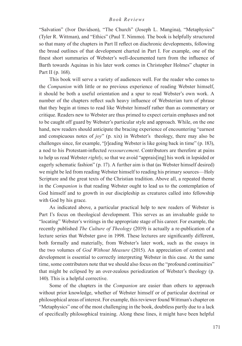"Salvation" (Ivor Davidson), "The Church" (Joseph L. Mangina), "Metaphysics" (Tyler R. Wittman), and "Ethics" (Paul T. Nimmo). The book is helpfully structured so that many of the chapters in Part II reflect on diachronic developments, following the broad outlines of that development charted in Part I. For example, one of the finest short summaries of Webster's well-documented turn from the influence of Barth towards Aquinas in his later work comes in Christopher Holmes" chapter in Part II (p. 168).

This book will serve a variety of audiences well. For the reader who comes to the *Companion* with little or no previous experience of reading Webster himself, it should be both a useful orientation and a spur to read Webster's own work. A number of the chapters reflect such heavy influence of Websterian turn of phrase that they begin at times to read like Webster himself rather than as commentary or critique. Readers new to Webster are thus primed to expect certain emphases and not to be caught off guard by Webster's particular style and approach. While, on the one hand, new readers should anticipate the bracing experience of encountering "earnest and conspicuous notes of *joy*" (p. xix) in Webster's theology, there may also be challenges since, for example, "[r]eading Webster is like going back in time" (p. 183), a nod to his Protestant-inflected *ressourcement*. Contributors are therefore at pains to help us read Webster *rightly*, so that we avoid "apprais[ing] his work in lopsided or eagerly schematic fashion" (p. 17). A further aim is that (as Webster himself desired) we might be led from reading Webster himself to reading his primary sources—Holy Scripture and the great texts of the Christian tradition. Above all, a repeated theme in the *Companion* is that reading Webster ought to lead us to the contemplation of God himself and to growth in our discipleship as creatures called into fellowship with God by his grace.

As indicated above, a particular practical help to new readers of Webster is Part I's focus on theological development. This serves as an invaluable guide to "locating" Webster's writings in the appropriate stage of his career. For example, the recently published *The Culture of Theology* (2019) is actually a re-publication of a lecture series that Webster gave in 1998. These lectures are significantly different, both formally and materially, from Webster's later work, such as the essays in the two volumes of *God Without Measure* (2015). An appreciation of context and development is essential to correctly interpreting Webster in this case. At the same time, some contributors note that we should also focus on the "profound continuities" that might be eclipsed by an over-zealous periodization of Webster's theology (p. 140). This is a helpful corrective.

Some of the chapters in the *Companion* are easier than others to approach without prior knowledge, whether of Webster himself or of particular doctrinal or philosophical areas of interest. For example, this reviewer found Wittman's chapter on "Metaphysics" one of the most challenging in the book, doubtless partly due to a lack of specifically philosophical training. Along these lines, it might have been helpful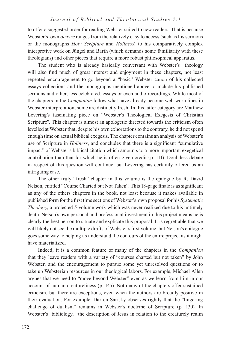to offer a suggested order for reading Webster suited to new readers. That is because Webster's own *oeuvre* ranges from the relatively easy to access (such as his sermons or the monographs *Holy Scripture* and *Holiness*) to his comparatively complex interpretive work on Jüngel and Barth (which demands some familiarity with these theologians) and other pieces that require a more robust philosophical apparatus.

The student who is already basically conversant with Webster's theology will also find much of great interest and enjoyment in these chapters, not least repeated encouragement to go beyond a "basic" Webster canon of his collected essays collections and the monographs mentioned above to include his published sermons and other, less celebrated, essays or even audio recordings. While most of the chapters in the *Companion* follow what have already become well-worn lines in Webster interpretation, some are distinctly fresh. In this latter category are Matthew Levering's fascinating piece on "Webster's Theological Exegesis of Christian Scripture". This chapter is almost an apologetic directed towards the criticism often levelled at Webster that, despite his own exhortations to the contrary, he did not spend enough time on actual biblical exegesis. The chapter contains an analysis of Webster's use of Scripture in *Holiness*, and concludes that there is a significant "cumulative impact" of Webster's biblical citation which amounts to a more important exegetical contribution than that for which he is often given credit (p. 111). Doubtless debate in respect of this question will continue, but Levering has certainly offered us an intriguing case.

The other truly "fresh" chapter in this volume is the epilogue by R. David Nelson, entitled "Course Charted but Not Taken". This 18-page finalé is as significant as any of the others chapters in the book, not least because it makes available in published form for the first time sections of Webster's own proposal for his *Systematic Theology*, a projected 5-volume work which was never realized due to his untimely death. Nelson's own personal and professional investment in this project means he is clearly the best person to situate and explicate this proposal. It is regrettable that we will likely not see the multiple drafts of Webster's first volume, but Nelson's epilogue goes some way to helping us understand the contours of the entire project as it might have materialized.

Indeed, it is a common feature of many of the chapters in the *Companion* that they leave readers with a variety of "courses charted but not taken" by John Webster, and the encouragement to pursue some yet unresolved questions or to take up Websterian resources in our theological labors. For example, Michael Allen argues that we need to "move beyond Webster" even as we learn from him in our account of human creatureliness (p. 145). Not many of the chapters offer sustained criticism, but there are exceptions, even when the authors are broadly positive in their evaluation. For example, Darren Sarisky observes rightly that the "lingering challenge of dualism" remains in Webster's doctrine of Scripture (p. 130). In Webster's bibliology, "the description of Jesus in relation to the creaturely realm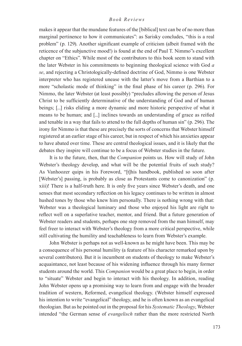makes it appear that the mundane features of the [biblical] text can be of no more than marginal pertinence to how it communicates": as Sarisky concludes, "this is a real problem" (p. 129). Another significant example of criticism (albeit framed with the reticence of the subjunctive mood!) is found at the end of Paul T. Nimmo"s excellent chapter on "Ethics". While most of the contributors to this book seem to stand with the later Webster in his commitments to beginning theological science with God *a se*, and rejecting a Christologically-defined doctrine of God, Nimmo is one Webster interpreter who has registered unease with the latter's move from a Barthian to a more "scholastic mode of thinking" in the final phase of his career (p. 296). For Nimmo, the later Webster (at least possibly) "precludes allowing the person of Jesus Christ to be sufficiently determinative of the understanding of God and of human beings; [...] risks eliding a more dynamic and more historic perspective of what it means to be human; and [...] inclines towards an understanding of grace as reified and tenable in a way that fails to attend to the full depths of human sin" (p. 296). The irony for Nimmo is that these are precisely the sorts of concerns that Webster himself registered at an earlier stage of his career, but in respect of which his anxieties appear to have abated over time. These are central theological issues, and it is likely that the debates they inspire will continue to be a focus of Webster studies in the future.

It is to the future, then, that the *Companion* points us. How will study of John Webster's theology develop, and what will be the potential fruits of such study? As Vanhoozer quips in his Foreword, "[t]his handbook, published so soon after [Webster's] passing, is probably as close as Protestants come to canonization" (p. xiii)! There is a half-truth here. It is only five years since Webster's death, and one senses that most secondary reflection on his legacy continues to be written in almost hushed tones by those who knew him personally. There is nothing wrong with that: Webster was a theological luminary and those who enjoyed his light are right to reflect well on a superlative teacher, mentor, and friend. But a future generation of Webster readers and students, perhaps one step removed from the man himself, may feel freer to interact with Webster's theology from a more critical perspective, while still cultivating the humility and teachableness to learn from Webster's example.

John Webster is perhaps not as well-known as he might have been. This may be a consequence of his personal humility (a feature of his character remarked upon by several contributors). But it is incumbent on students of theology to make Webster's acquaintance, not least because of his widening influence through his many former students around the world. This *Companion* would be a great place to begin, in order to "situate" Webster and begin to interact with his theology. In addition, reading John Webster opens up a promising way to learn from and engage with the broader tradition of western, Reformed, evangelical theology. (Webster himself expressed his intention to write "evangelical" theology, and he is often known as an evangelical theologian. But as he pointed out in the proposal for his *Systematic Theology*, Webster intended "the German sense of *evangelisch* rather than the more restricted North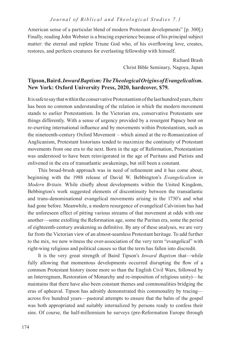American sense of a particular blend of modern Protestant developments" [p. 300].) Finally, reading John Webster is a bracing experience because of his principal subject matter: the eternal and replete Triune God who, of his overflowing love, creates, restores, and perfects creatures for everlasting fellowship with himself.

> Richard Brash Christ Bible Seminary, Nagoya, Japan

# **Tipson, Baird.** *Inward Baptism: The Theological Origins of Evangelicalism.*  **New York: Oxford University Press, 2020, hardcover, \$79.**

It is safe to say that within the conservative Protestantism of the last hundred years, there has been no common understanding of the relation in which the modern movement stands to earlier Protestantism. In the Victorian era, conservative Protestants saw things differently. With a sense of urgency provided by a resurgent Papacy bent on re-exerting international influence and by movements within Protestantism, such as the nineteenth-century Oxford Movement – which aimed at the re-Romanization of Anglicanism, Protestant historians tended to maximize the continuity of Protestant movements from one era to the next. Born in the age of Reformation, Protestantism was understood to have been reinvigorated in the age of Puritans and Pietists and enlivened in the era of transatlantic awakenings, but still been a constant.

This broad-brush approach was in need of refinement and it has come about, beginning with the 1988 release of David W. Bebbington's *Evangelicalism in Modern Britain.* While chiefly about developments within the United Kingdom, Bebbington's work suggested elements of discontinuity between the transatlantic and trans-denominational evangelical movements arising in the 1730's and what had gone before. Meanwhile, a modern resurgence of evangelical Calvinism has had the unforeseen effect of pitting various streams of that movement at odds with one another—some extolling the Reformation age, some the Puritan era, some the period of eighteenth-century awakening as definitive. By any of these analyses, we are very far from the Victorian view of an almost-seamless Protestant heritage. To add further to the mix, we now witness the over-association of the very term "evangelical" with right-wing religious and political causes so that the term has fallen into discredit.

It is the very great strength of Baird Tipson's *Inward Baptism* that—while fully allowing that momentous developments occurred disrupting the flow of a common Protestant history (none more so than the English Civil Wars, followed by an Interregnum, Restoration of Monarchy and re-imposition of religious unity)—he maintains that there have also been constant themes and commonalities bridging the eras of upheaval. Tipson has adroitly demonstrated this commonality by tracing across five hundred years—pastoral attempts to ensure that the balm of the gospel was both appropriated and suitably internalized by persons ready to confess their sins. Of course, the half-millennium he surveys (pre-Reformation Europe through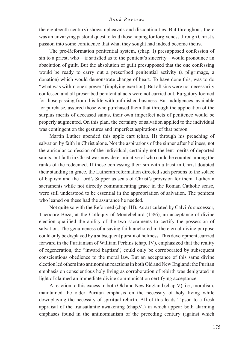the eighteenth century) shows upheavals and discontinuities. But throughout, there was an unvarying pastoral quest to lead those hoping for forgiveness through Christ's passion into some confidence that what they sought had indeed become theirs.

The pre-Reformation penitential system, (chap. I) presupposed confession of sin to a priest, who—if satisfied as to the penitent's sincerity—would pronounce an absolution of guilt. But the absolution of guilt presupposed that the one confessing would be ready to carry out a prescribed penitential activity (a pilgrimage, a donation) which would demonstrate change of heart. To have done this, was to do "what was within one's power" (implying exertion). But all sins were not necessarily confessed and all prescribed penitential acts were not carried out. Purgatory loomed for those passing from this life with unfinished business. But indulgences, available for purchase, assured those who purchased them that through the application of the surplus merits of deceased saints, their own imperfect acts of penitence would be properly augmented. On this plan, the certainty of salvation applied to the individual was contingent on the gestures and imperfect aspirations of that person.

Martin Luther upended this apple cart (chap. II) through his preaching of salvation by faith in Christ alone. Not the aspirations of the sinner after holiness, not the auricular confession of the individual, certainly not the lent merits of departed saints, but faith in Christ was now determinative of who could be counted among the ranks of the redeemed. If those confessing their sin with a trust in Christ doubted their standing in grace, the Lutheran reformation directed such persons to the solace of baptism and the Lord's Supper as seals of Christ's provision for them. Lutheran sacraments while not directly communicating grace in the Roman Catholic sense, were still understood to be essential in the appropriation of salvation. The penitent who leaned on these had the assurance he needed.

Not quite so with the Reformed (chap. III). As articulated by Calvin's successor, Theodore Beza, at the Colloquy of Montebeliard (1586), an acceptance of divine election qualified the ability of the two sacraments to certify the possession of salvation. The genuineness of a saving faith anchored in the eternal divine purpose could only be displayed by a subsequent pursuit of holiness. This development, carried forward in the Puritanism of William Perkins (chap. IV), emphasized that the reality of regeneration, the "inward baptism", could only be corroborated by subsequent conscientious obedience to the moral law. But an acceptance of this same divine election led others into antinomian reactions in both Old and New England; the Puritan emphasis on conscientious holy living as corroboration of rebirth was denigrated in light of claimed an immediate divine communication certifying acceptance.

A reaction to this excess in both Old and New England (chap V), i.e., moralism, maintained the older Puritan emphasis on the necessity of holy living while downplaying the necessity of spiritual rebirth. All of this leads Tipson to a fresh appraisal of the transatlantic awakening (chap.VI) in which appear both alarming emphases found in the antinomianism of the preceding century (against which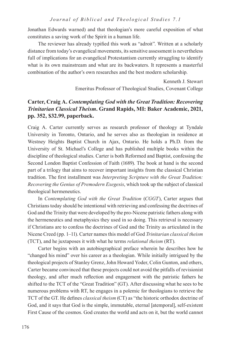Jonathan Edwards warned) and that theologian's more careful exposition of what constitutes a saving work of the Spirit in a human life.

The reviewer has already typified this work as "adroit". Written at a scholarly distance from today's evangelical movements, its sensitive assessment is nevertheless full of implications for an evangelical Protestantism currently struggling to identify what is its own mainstream and what are its backwaters. It represents a masterful combination of the author's own researches and the best modern scholarship.

> Kenneth J. Stewart Emeritus Professor of Theological Studies, Covenant College

# **Carter, Craig A.** *Contemplating God with the Great Tradition: Recovering Trinitarian Classical Theism***. Grand Rapids, MI: Baker Academic, 2021, pp. 352, \$32.99, paperback.**

Craig A. Carter currently serves as research professor of theology at Tyndale University in Toronto, Ontario, and he serves also as theologian in residence at Westney Heights Baptist Church in Ajax, Ontario. He holds a Ph.D. from the University of St. Michael's College and has published multiple books within the discipline of theological studies. Carter is both Reformed and Baptist, confessing the Second London Baptist Confession of Faith (1689). The book at hand is the second part of a trilogy that aims to recover important insights from the classical Christian tradition. The first installment was *Interpreting Scripture with the Great Tradition: Recovering the Genius of Premodern Exegesis*, which took up the subject of classical theological hermeneutics.

In *Contemplating God with the Great Tradition* (*CGGT*), Carter argues that Christians today should be intentional with retrieving and confessing the doctrines of God and the Trinity that were developed by the pro-Nicene patristic fathers along with the hermeneutics and metaphysics they used in so doing. This retrieval is necessary if Christians are to confess the doctrines of God and the Trinity as articulated in the Nicene Creed (pp. 1–11). Carter names this model of God *Trinitarian classical theism* (TCT), and he juxtaposes it with what he terms *relational theism* (RT).

Carter begins with an autobiographical preface wherein he describes how he "changed his mind" over his career as a theologian. While initially intrigued by the theological projects of Stanley Grenz, John Howard Yoder, Colin Gunton, and others, Carter became convinced that these projects could not avoid the pitfalls of revisionist theology, and after much reflection and engagement with the patristic fathers he shifted to the TCT of the "Great Tradition" (GT). After discussing what he sees to be numerous problems with RT, he engages in a polemic for theologians to retrieve the TCT of the GT. He defines *classical theism* (CT) as "the historic orthodox doctrine of God, and it says that God is the simple, immutable, eternal [atemporal], self-existent First Cause of the cosmos. God creates the world and acts on it, but the world cannot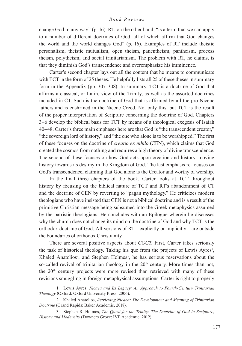change God in any way" (p. 16). RT, on the other hand, "is a term that we can apply to a number of different doctrines of God, all of which affirm that God changes the world and the world changes God" (p. 16). Examples of RT include theistic personalism, theistic mutualism, open theism, panentheism, pantheism, process theism, polytheism, and social trinitarianism. The problem with RT, he claims, is that they diminish God's transcendence and overemphasize his imminence.

Carter's second chapter lays out all the content that he means to communicate with TCT in the form of 25 theses. He helpfully lists all 25 of these theses in summary form in the Appendix (pp. 307–308). In summary, TCT is a doctrine of God that affirms a classical, or Latin, view of the Trinity, as well as the assorted doctrines included in CT. Such is the doctrine of God that is affirmed by all the pro-Nicene fathers and is enshrined in the Nicene Creed. Not only this, but TCT is the result of the proper interpretation of Scripture concerning the doctrine of God. Chapters 3–6 develop the biblical basis for TCT by means of a theological exegesis of Isaiah 40–48. Carter's three main emphases here are that God is "the transcendent creator," "the sovereign lord of history," and "the one who alone is to be worshipped." The first of these focuses on the doctrine of *creatio ex nihilo* (CEN), which claims that God created the cosmos from nothing and requires a high theory of divine transcendence. The second of these focuses on how God acts upon creation and history, moving history towards its destiny in the Kingdom of God. The last emphasis re-focuses on God's transcendence, claiming that God alone is the Creator and worthy of worship.

In the final three chapters of the book, Carter looks at TCT throughout history by focusing on the biblical nature of TCT and RT's abandonment of CT and the doctrine of CEN by reverting to "pagan mythology." He criticizes modern theologians who have insisted that CEN is not a biblical doctrine and is a result of the primitive Christian message being subsumed into the Greek metaphysics assumed by the patristic theologians. He concludes with an Epilogue wherein he discusses why the church does not change its mind on the doctrine of God and why TCT is the orthodox doctrine of God. All versions of RT—explicitly or implicitly—are outside the boundaries of orthodox Christianity.

There are several positive aspects about *CGGT*. First, Carter takes seriously the task of historical theology. Taking his que from the projects of Lewis Ayres<sup>1</sup>, Khaled Anatolios<sup>2</sup>, and Stephen Holmes<sup>3</sup>, he has serious reservations about the so-called revival of trinitarian theology in the  $20<sup>th</sup>$  century. More times than not, the 20th century projects were more revised than retrieved with many of these revisions smuggling in foreign metaphysical assumptions. Carter is right to properly

1. Lewis Ayres, *Nicaea and Its Legacy: An Approach to Fourth-Century Trinitarian Theology* (Oxford: Oxford University Press, 2006).

2. Khaled Anatolios, *Retrieving Nicaea: The Development and Meaning of Trinitarian Doctrine* (Grand Rapids: Baker Academic, 2018).

3. Stephen R. Holmes, *The Quest for the Trinity: The Doctrine of God in Scripture, History and Modernity* (Downers Grove: IVP Academic, 2012).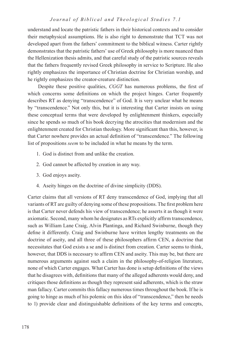understand and locate the patristic fathers in their historical contexts and to consider their metaphysical assumptions. He is also right to demonstrate that TCT was not developed apart from the fathers' commitment to the biblical witness. Carter rightly demonstrates that the patristic fathers' use of Greek philosophy is more nuanced than the Hellenization thesis admits, and that careful study of the patristic sources reveals that the fathers frequently revised Greek philosophy in service to Scripture. He also rightly emphasizes the importance of Christian doctrine for Christian worship, and he rightly emphasizes the creator-creature distinction.

Despite these positive qualities, *CGGT* has numerous problems, the first of which concerns some definitions on which the project hinges. Carter frequently describes RT as denying "transcendence" of God. It is very unclear what he means by "transcendence." Not only this, but it is interesting that Carter insists on using these conceptual terms that were developed by enlightenment thinkers, especially since he spends so much of his book decrying the atrocities that modernism and the enlightenment created for Christian theology. More significant than this, however, is that Carter nowhere provides an actual definition of "transcendence." The following list of propositions *seem* to be included in what he means by the term.

- 1. God is distinct from and unlike the creation.
- 2. God cannot be affected by creation in any way.
- 3. God enjoys aseity.
- 4. Aseity hinges on the doctrine of divine simplicity (DDS).

Carter claims that all versions of RT deny transcendence of God, implying that all variants of RT are guilty of denying some of these propositions. The first problem here is that Carter never defends his view of transcendence; he asserts it as though it were axiomatic. Second, many whom he designates as RTs explicitly affirm transcendence, such as William Lane Craig, Alvin Plantinga, and Richard Swinburne, though they define it differently. Craig and Swinburne have written lengthy treatments on the doctrine of aseity, and all three of these philosophers affirm CEN, a doctrine that necessitates that God exists a se and is distinct from creation. Carter seems to think, however, that DDS is necessary to affirm CEN and aseity. This may be, but there are numerous arguments against such a claim in the philosophy-of-religion literature, none of which Carter engages. What Carter has done is setup definitions of the views that he disagrees with, definitions that many of the alleged adherents would deny, and critiques those definitions as though they represent said adherents, which is the straw man fallacy. Carter commits this fallacy numerous times throughout the book. If he is going to hinge as much of his polemic on this idea of "transcendence," then he needs to 1) provide clear and distinguishable definitions of the key terms and concepts,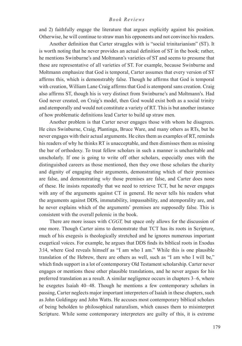and 2) faithfully engage the literature that argues explicitly against his position. Otherwise, he will continue to straw man his opponents and not convince his readers.

Another definition that Carter struggles with is "social trinitarianism" (ST). It is worth noting that he never provides an actual definition of ST in the book; rather, he mentions Swinburne's and Moltmann's varieties of ST and seems to presume that these are representative of all varieties of ST. For example, because Swinburne and Moltmann emphasize that God is temporal, Carter assumes that every version of ST affirms this, which is demonstrably false. Though he affirms that God is temporal with creation, William Lane Craig affirms that God is atemporal sans creation. Craig also affirms ST, though his is very distinct from Swinburne's and Moltmann's. Had God never created, on Craig's model, then God would exist both as a social trinity and atemporally and would not constitute a variety of RT. This is but another instance of how problematic definitions lead Carter to build up straw men.

Another problem is that Carter never engages those with whom he disagrees. He cites Swinburne, Craig, Plantinga, Bruce Ware, and many others as RTs, but he never engages with their actual arguments. He cites them as examples of RT, reminds his readers of why he thinks RT is unacceptable, and then dismisses them as missing the bar of orthodoxy. To treat fellow scholars in such a manner is uncharitable and unscholarly. If one is going to write off other scholars, especially ones with the distinguished careers as those mentioned, then they owe those scholars the charity and dignity of engaging their arguments, demonstrating which of their premises are false, and demonstrating *why* those premises are false, and Carter does none of these. He insists repeatedly that we need to retrieve TCT, but he never engages with any of the arguments against CT in general. He never tells his readers what the arguments against DDS, immutability, impassability, and atemporality are, and he never explains which of the arguments' premises are supposedly false. This is consistent with the overall polemic in the book.

There are more issues with *CGGT,* but space only allows for the discussion of one more. Though Carter aims to demonstrate that TCT has its roots in Scripture, much of his exegesis is theologically stretched and he ignores numerous important exegetical voices. For example, he argues that DDS finds its biblical roots in Exodus 3:14, where God reveals himself as "I am who I am." While this is one plausible translation of the Hebrew, there are others as well, such as "I am who I will be," which finds support in a lot of contemporary Old Testament scholarship. Carter never engages or mentions these other plausible translations, and he never argues for his preferred translation as a result. A similar negligence occurs in chapters 3–6, where he exegetes Isaiah 40–48. Though he mentions a few contemporary scholars in passing, Carter neglects major important interpreters of Isaiah in these chapters, such as John Goldingay and John Watts. He accuses most contemporary biblical scholars of being beholden to philosophical naturalism, which causes them to misinterpret Scripture. While some contemporary interpreters are guilty of this, it is extreme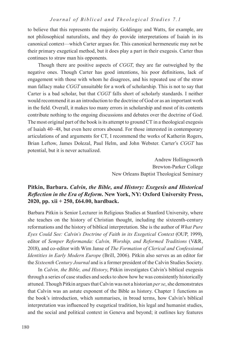to believe that this represents the majority. Goldingay and Watts, for example, are not philosophical naturalists, and they do provide interpretations of Isaiah in its canonical context—which Carter argues for. This canonical hermeneutic may not be their primary exegetical method, but it does play a part in their exegesis. Carter thus continues to straw man his opponents.

Though there are positive aspects of *CGGT*, they are far outweighed by the negative ones. Though Carter has good intentions, his poor definitions, lack of engagement with those with whom he disagrees, and his repeated use of the straw man fallacy make *CGGT* unsuitable for a work of scholarship. This is not to say that Carter is a bad scholar, but that *CGGT* falls short of scholarly standards. I neither would recommend it as an introduction to the doctrine of God or as an important work in the field. Overall, it makes too many errors in scholarship and most of its contents contribute nothing to the ongoing discussions and debates over the doctrine of God. The most original part of the book is its attempt to ground CT in a theological exegesis of Isaiah 40–48, but even here errors abound. For those interested in contemporary articulations of and arguments for CT, I recommend the works of Katherin Rogers, Brian Leftow, James Dolezal, Paul Helm, and John Webster. Carter's *CGGT* has potential, but it is never actualized.

> Andrew Hollingsworth Brewton-Parker College New Orleans Baptist Theological Seminary

# **Pitkin, Barbara.** *Calvin, the Bible, and History: Exegesis and Historical Reflection in the Era of Reform***. New York, NY: Oxford University Press, 2020, pp. xii + 250, £64.00, hardback.**

Barbara Pitkin is Senior Lecturer in Religious Studies at Stanford University, where she teaches on the history of Christian thought, including the sixteenth-century reformations and the history of biblical interpretation. She is the author of *What Pure Eyes Could See: Calvin's Doctrine of Faith in its Exegetical Context* (OUP, 1999), editor of *Semper Reformanda: Calvin, Worship, and Reformed Traditions* (V&R, 2018), and co-editor with Wim Janse of *The Formation of Clerical and Confessional Identities in Early Modern Europe* (Brill, 2006). Pitkin also serves as an editor for the *Sixteenth Century Journal* and is a former president of the Calvin Studies Society.

In *Calvin, the Bible, and History*, Pitkin investigates Calvin's biblical exegesis through a series of case studies and seeks to show how he was consistently historically attuned. Though Pitkin argues that Calvin was not a historian *per se*, she demonstrates that Calvin was an astute exponent of the Bible as history. Chapter 1 functions as the book's introduction, which summarises, in broad terms, how Calvin's biblical interpretation was influenced by exegetical tradition, his legal and humanist studies, and the social and political context in Geneva and beyond; it outlines key features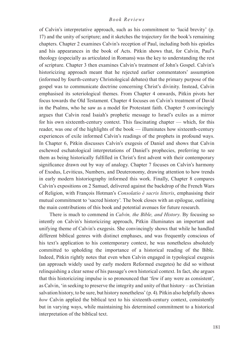of Calvin's interpretative approach, such as his commitment to 'lucid brevity' (p. 17) and the unity of scripture; and it sketches the trajectory for the book's remaining chapters. Chapter 2 examines Calvin's reception of Paul, including both his epistles and his appearances in the book of Acts. Pitkin shows that, for Calvin, Paul's theology (especially as articulated in Romans) was the key to understanding the rest of scripture. Chapter 3 then examines Calvin's treatment of John's Gospel. Calvin's historicizing approach meant that he rejected earlier commentators' assumption (informed by fourth-century Christological debates) that the primary purpose of the gospel was to communicate doctrine concerning Christ's divinity. Instead, Calvin emphasised its soteriological themes. From Chapter 4 onwards, Pitkin pivots her focus towards the Old Testament. Chapter 4 focuses on Calvin's treatment of David in the Psalms, who he saw as a model for Protestant faith. Chapter 5 convincingly argues that Calvin read Isaiah's prophetic message to Israel's exiles as a mirror for his own sixteenth-century context. This fascinating chapter — which, for this reader, was one of the highlights of the book — illuminates how sixteenth-century experiences of exile informed Calvin's readings of the prophets in profound ways. In Chapter 6, Pitkin discusses Calvin's exegesis of Daniel and shows that Calvin eschewed eschatological interpretations of Daniel's prophecies, preferring to see them as being historically fulfilled in Christ's first advent with their contemporary significance drawn out by way of analogy. Chapter 7 focuses on Calvin's harmony of Exodus, Leviticus, Numbers, and Deuteronomy, drawing attention to how trends in early modern historiography informed this work. Finally, Chapter 8 compares Calvin's expositions on 2 Samuel, delivered against the backdrop of the French Wars of Religion, with François Hotman's *Consolatio è sacris litteris*, emphasising their mutual commitment to 'sacred history'. The book closes with an epilogue, outlining the main contributions of this book and potential avenues for future research.

There is much to commend in *Calvin, the Bible, and History*. By focusing so intently on Calvin's historicizing approach, Pitkin illuminates an important and unifying theme of Calvin's exegesis. She convincingly shows that while he handled different biblical genres with distinct emphases, and was frequently conscious of his text's application to his contemporary context, he was nonetheless absolutely committed to upholding the importance of a historical reading of the Bible. Indeed, Pitkin rightly notes that even when Calvin engaged in typological exegesis (an approach widely used by early modern Reformed exegetes) he did so without relinquishing a clear sense of his passage's own historical context. In fact, she argues that this historicizing impulse is so pronounced that 'few if any were as consistent', as Calvin, 'in seeking to preserve the integrity and unity of that history – as Christian salvation history, to be sure, but history nonetheless' (p. 4). Pitkin also helpfully shows *how* Calvin applied the biblical text to his sixteenth-century context, consistently but in varying ways, while maintaining his determined commitment to a historical interpretation of the biblical text.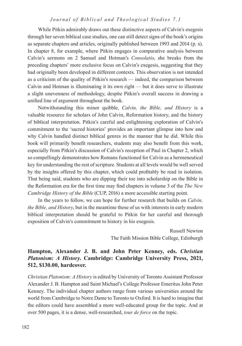While Pitkin admirably draws out these distinctive aspects of Calvin's exegesis through her seven biblical case studies, one can still detect signs of the book's origins as separate chapters and articles, originally published between 1993 and 2014 (p. x). In chapter 8, for example, where Pitkin engages in comparative analysis between Calvin's sermons on 2 Samuel and Hotman's *Consolatio*, she breaks from the preceding chapters' more exclusive focus on Calvin's exegesis, suggesting that they had originally been developed in different contexts. This observation is not intended as a criticism of the quality of Pitkin's research — indeed, the comparison between Calvin and Hotman is illuminating it its own right — but it does serve to illustrate a slight unevenness of methodology, despite Pitkin's overall success in drawing a unified line of argument throughout the book.

Notwithstanding this minor quibble, *Calvin, the Bible, and History* is a valuable resource for scholars of John Calvin, Reformation history, and the history of biblical interpretation. Pitkin's careful and enlightening exploration of Calvin's commitment to the 'sacred histories' provides an important glimpse into how and why Calvin handled distinct biblical genres in the manner that he did. While this book will primarily benefit researchers, students may also benefit from this work, especially from Pitkin's discussion of Calvin's reception of Paul in Chapter 2, which so compellingly demonstrates how Romans functioned for Calvin as a hermeneutical key for understanding the rest of scripture. Students at all levels would be well served by the insights offered by this chapter, which could profitably be read in isolation. That being said, students who are dipping their toe into scholarship on the Bible in the Reformation era for the first time may find chapters in volume 3 of the *The New Cambridge History of the Bible* (CUP, 2016) a more accessible starting point.

In the years to follow, we can hope for further research that builds on *Calvin, the Bible, and History*, but in the meantime those of us with interests in early modern biblical interpretation should be grateful to Pitkin for her careful and thorough exposition of Calvin's commitment to history in his exegesis.

> Russell Newton The Faith Mission Bible College, Edinburgh

# **Hampton, Alexander J. B. and John Peter Kenney, eds.** *Christian Platonism: A History***. Cambridge: Cambridge University Press, 2021, 512, \$130.00, hardcover.**

*Christian Platonism: A History* is edited by University of Toronto Assistant Professor Alexander J. B. Hampton and Saint Michael's College Professor Emeritus John Peter Kenney. The individual chapter authors range from various universities around the world from Cambridge to Notre Dame to Toronto to Oxford. It is hard to imagine that the editors could have assembled a more well-educated group for the topic. And at over 500 pages, it is a dense, well-researched, *tour de force* on the topic.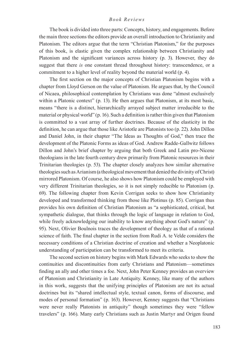The book is divided into three parts: Concepts, history, and engagements. Before the main three sections the editors provide an overall introduction to Christianity and Platonism. The editors argue that the term "Christian Platonism," for the purposes of this book, is elastic given the complex relationship between Christianity and Platonism and the significant variances across history (p. 3). However, they do suggest that there *is* one constant thread throughout history: transcendence, or a commitment to a higher level of reality beyond the material world (p. 4).

The first section on the major concepts of Christian Platonism begins with a chapter from Lloyd Gerson on the value of Platonism. He argues that, by the Council of Nicaea, philosophical contemplation by Christians was done "almost exclusively within a Platonic context" (p. 13). He then argues that Platonism, at its most basic, means "there is a distinct, hierarchically arrayed subject matter irreducible to the material or physical world" (p. 16). Such a definition is rather thin given that Platonism is committed to a vast array of further doctrines. Because of the elasticity in the definition, he can argue that those like Aristotle are Platonists too (p. 22). John Dillon and Daniel John, in their chapter "The Ideas as Thoughts of God," then trace the development of the Platonic Forms as ideas of God. Andrew Radde-Gallwitz follows Dillon and John's brief chapter by arguing that both Greek and Latin pro-Nicene theologians in the late fourth century drew primarily from Platonic resources in their Trinitarian theologies (p. 53). The chapter closely analyzes how similar alternative theologies such as Arianism (a theological movement that denied the divinity of Christ) mirrored Platonism. Of course, he also shows how Platonism could be employed with very different Trinitarian theologies, so it is not simply reducible to Platonism (p. 69). The following chapter from Kevin Corrigan seeks to show how Christianity developed and transformed thinking from those like Plotinus (p. 85). Corrigan thus provides his own definition of Christian Platonism as "a sophisticated, critical, but sympathetic dialogue, that thinks through the logic of language in relation to God, while freely acknowledging our inability to know anything about God's nature" (p. 95). Next, Olivier Boulnois traces the development of theology as that of a rational science of faith. The final chapter in the section from Rudi A. te Velde considers the necessary conditions of a Christian doctrine of creation and whether a Neoplatonic understanding of participation can be transformed to meet its criteria.

The second section on history begins with Mark Edwards who seeks to show the continuities and discontinuities from early Christians and Platonism—sometimes finding an ally and other times a foe. Next, John Peter Kenney provides an overview of Platonism and Christianity in Late Antiquity. Kenney, like many of the authors in this work, suggests that the unifying principles of Platonism are not its actual doctrines but its "shared intellectual style, textual canon, forms of discourse, and modes of personal formation" (p. 163). However, Kenney suggests that "Christians were never really Platonists in antiquity" though sometimes they were "fellow travelers" (p. 166). Many early Christians such as Justin Martyr and Origen found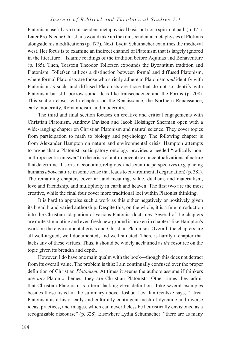Platonism useful as a transcendent metaphysical basis but not a spiritual path (p. 171). Later Pro-Nicene Christians would take up the transcendental metaphysics of Plotinus alongside his modifications (p. 177). Next, Lydia Schumacher examines the medieval west. Her focus is to examine an indirect channel of Platonism that is largely ignored in the literature—Islamic readings of the tradition before Aquinas and Bonaventure (p. 185). Then, Torstein Theodor Tollefsen expounds the Byzantium tradition and Platonism. Tollefsen utilizes a distinction between formal and diffused Platonism, where formal Platonists are those who strictly adhere to Platonism *and* identify with Platonism as such, and diffused Platonists are those that do not so identify with Platonism but still borrow some ideas like transcendence and the Forms (p. 208). This section closes with chapters on the Renaissance, the Northern Renaissance, early modernity, Romanticism, and modernity.

The third and final section focuses on creative and critical engagements with Christian Platonism. Andrew Davison and Jacob Holsinger Sherman open with a wide-ranging chapter on Christian Platonism and natural science. They cover topics from participation to math to biology and psychology. The following chapter is from Alexander Hampton on nature and environmental crisis. Hampton attempts to argue that a Platonist participatory ontology provides a needed "radically nonanthropocentric answer" to the crisis of anthropocentric conceptualizations of nature that determine all sorts of economic, religious, and scientific perspectives (e.g. placing humans *above* nature in some sense that leads to environmental degradation) (p. 381). The remaining chapters cover art and meaning, value, dualism, and materialism, love and friendship, and multiplicity in earth and heaven. The first two are the most creative, while the final four cover more traditional loci within Platonist thinking.

It is hard to appraise such a work as this either negatively or positively given its breadth and varied authorship. Despite this, on the whole, it is a fine introduction into the Christian adaptation of various Platonist doctrines. Several of the chapters are quite stimulating and even fresh new ground is broken in chapters like Hampton's work on the environmental crisis and Christian Platonism. Overall, the chapters are all well-argued, well documented, and well situated. There is hardly a chapter that lacks any of these virtues. Thus, it should be widely acclaimed as *the* resource on the topic given its breadth and depth.

However, I do have one main qualm with the book—though this does not detract from its overall value. The problem is this: I am continually confused over the proper definition of Christian *Platonism*. At times it seems the authors assume if thinkers use *any* Platonic themes, they are Christian Platonists. Other times they admit that Christian Platonism is a term lacking clear definition. Take several examples besides those listed in the summary above: Joshua Levi Ian Gentske says, "I treat Platonism as a historically and culturally contingent mesh of dynamic and diverse ideas, practices, and images, which can nevertheless be heuristically envisioned as a recognizable discourse" (p. 328). Elsewhere Lydia Schumacher: "there are as many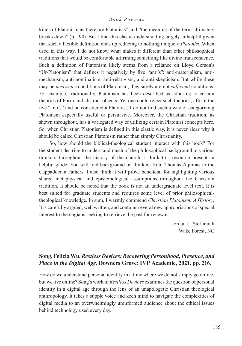kinds of Platonism as there are Platonists" and "the meaning of the term ultimately breaks down" (p. 190). But I find this elastic understanding largely unhelpful given that such a flexible definition ends up reducing to nothing uniquely *Platonist*. When used in this way, I do not know what makes it different than other philosophical traditions that would be comfortable affirming something like divine transcendence. Such a definition of Platonism likely stems from a reliance on Lloyd Gerson's "Ur-Platonism" that defines it negatively by five "anti's": anti-materialism, antimechanism, anti-nominalism, anti-relativism, and anti-skepticism. But while these may be *necessary* conditions of Platonism, they surely are not *sufficient* conditions. For example, traditionally, Platonism has been described as adhering to certain theories of Form and abstract objects. Yet one could reject such theories, affirm the five "anti's" and be considered a Platonist. I do not find such a way of categorizing Platonism especially useful or persuasive. Moreover, the Christian tradition, as shown throughout, has a variegated way of utilizing certain Platonist concepts here. So, when Christian Platonism is defined in this elastic way, it is never clear why it should be called Christian Platonism rather than simply Christianity.

So, how should the biblical-theological student interact with this book? For the student desiring to understand much of the philosophical background to various thinkers throughout the history of the church, I think this resource presents a helpful guide. You will find background on thinkers from Thomas Aquinas to the Cappadocian Fathers. I also think it will prove beneficial for highlighting various shared metaphysical and epistemological assumptions throughout the Christian tradition. It should be noted that the book is not an undergraduate level text. It is best suited for graduate students and requires some level of prior philosophicaltheological knowledge. In sum, I warmly commend *Christian Platonism: A History*. It is carefully argued, well written, and contains several new appropriations of special interest to theologians seeking to retrieve the past for renewal.

> Jordan L. Steffaniak Wake Forest, NC

# **Song, Felicia Wu.** *Restless Devices: Recovering Personhood, Presence, and Place in the Digital Age***. Downers Grove: IVP Academic, 2021. pp. 216.**

How do we understand personal identity in a time where we do not simply go online, but we live online? Song's work in *Restless Devices* examines the question of personal identity in a digital age through the lens of an unapologetic Christian theological anthropology. It takes a supple voice and keen mind to navigate the complexities of digital media to an overwhelmingly uninformed audience about the ethical issues behind technology used every day.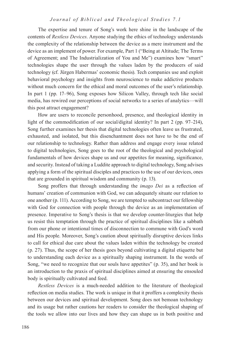The expertise and tenure of Song's work here shine in the landscape of the contents of *Restless Devices*. Anyone studying the ethics of technology understands the complexity of the relationship between the device as a mere instrument and the device as an implement of power. For example, Part 1 ("Being at Altitude; The Terms of Agreement; and The Industrialization of You and Me") examines how "smart" technologies shape the user through the values laden by the producers of said technology (cf. Jürgen Habermas' economic thesis). Tech companies use and exploit behavioral psychology and insights from neuroscience to make addictive products without much concern for the ethical and moral outcomes of the user's relationship. In part 1 (pp. 17–96), Song exposes how Silicon Valley, through tech like social media, has rewired our perceptions of social networks to a series of analytics––will this post attract engagement?

How are users to reconcile personhood, presence, and theological identity in light of the commodification of our social/digital identity? In part 2 (pp. 97–214), Song further examines her thesis that digital technologies often leave us frustrated, exhausted, and isolated, but this disenchantment does not have to be the end of our relationship to technology. Rather than address and engage every issue related to digital technologies, Song goes to the root of the theological and psychological fundamentals of how devices shape us and our appetites for meaning, significance, and security. Instead of taking a Luddite approach to digital technology, Song advises applying a form of the spiritual disciples and practices to the use of our devices, ones that are grounded in spiritual wisdom and community (p. 13).

Song proffers that through understanding the *imago Dei* as a reflection of humans' creation of communion with God, we can adequately situate our relation to one another (p. 111). According to Song, we are tempted to subcontract our fellowship with God for connection with people through the device as an implementation of presence. Imperative to Song's thesis is that we develop counter-liturgies that help us resist this temptation through the practice of spiritual disciplines like a sabbath from our phone or intentional times of disconnection to commune with God's word and His people. Moreover, Song's caution about spiritually disruptive devices links to call for ethical due care about the values laden within the technology be created (p. 27). Thus, the scope of her thesis goes beyond cultivating a digital etiquette but to understanding each device as a spiritually shaping instrument. In the words of Song, "we need to recognize that our souls have appetites" (p. 35), and her book is an introduction to the praxis of spiritual disciplines aimed at ensuring the ensouled body is spiritually cultivated and feed.

*Restless Devices* is a much-needed addition to the literature of theological reflection on media studies. The work is unique in that it proffers a complexity thesis between our devices and spiritual development. Song does not bemoan technology and its usage but rather cautions her readers to consider the theological shaping of the tools we allow into our lives and how they can shape us in both positive and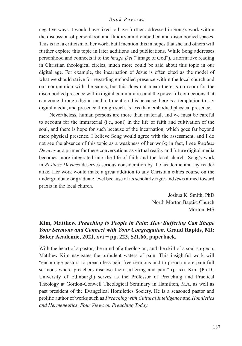negative ways. I would have liked to have further addressed in Song's work within the discussion of personhood and fluidity amid embodied and disembodied spaces. This is not a criticism of her work, but I mention this in hopes that she and others will further explore this topic in later additions and publications. While Song addresses personhood and connects it to the *imago Dei* ("image of God"), a normative reading in Christian theological circles, much more could be said about this topic in our digital age. For example, the incarnation of Jesus is often cited as the model of what we should strive for regarding embodied presence within the local church and our communion with the saints, but this does not mean there is no room for the disembodied presence within digital communities and the powerful connections that can come through digital media. I mention this because there is a temptation to say digital media, and presence through such, is less than embodied physical presence.

Nevertheless, human persons are more than material, and we must be careful to account for the immaterial (i.e., soul) in the life of faith and cultivation of the soul, and there is hope for such because of the incarnation, which goes far beyond mere physical presence. I believe Song would agree with the assessment, and I do not see the absence of this topic as a weakness of her work; in fact, I see *Restless Devices* as a primer for these conversations as virtual reality and future digital media becomes more integrated into the life of faith and the local church. Song's work in *Restless Devices* deserves serious consideration by the academic and lay reader alike. Her work would make a great addition to any Christian ethics course on the undergraduate or graduate level because of its scholarly rigor and *telo*s aimed toward praxis in the local church.

> Joshua K. Smith, PhD North Morton Baptist Church Morton, MS

# **Kim, Matthew.** *Preaching to People in Pain***:** *How Suffering Can Shape Your Sermons and Connect with Your Congregation***. Grand Rapids, MI: Baker Academic, 2021, xvi + pp. 223, \$21.66, paperback.**

With the heart of a pastor, the mind of a theologian, and the skill of a soul-surgeon, Matthew Kim navigates the turbulent waters of pain. This insightful work will "encourage pastors to preach less pain-free sermons and to preach more pain-full sermons where preachers disclose their suffering and pain" (p. xi). Kim (Ph.D., University of Edinburgh) serves as the Professor of Preaching and Practical Theology at Gordon-Conwell Theological Seminary in Hamilton, MA, as well as past president of the Evangelical Homiletics Society. He is a seasoned pastor and prolific author of works such as *Preaching with Cultural Intelligence* and *Homiletics and Hermeneutics*: *Four Views on Preaching Today*.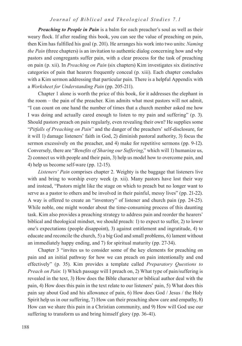*Preaching to People in Pain* is a balm for each preacher's soul as well as their weary flock. If after reading this book, you can see the value of preaching on pain, then Kim has fulfilled his goal (p. 201). He arranges his work into two units: *Naming the Pain* (three chapters) is an invitation to authentic dialog concerning how and why pastors and congregants suffer pain, with a clear process for the task of preaching on pain (p. xii). In *Preaching on Pain* (six chapters) Kim investigates six distinctive categories of pain that hearers frequently conceal (p. xiii). Each chapter concludes with a Kim sermon addressing that particular pain. There is a helpful Appendix with a *Worksheet for Understanding Pain* (pp. 205-211).

Chapter 1 alone is worth the price of this book, for it addresses the elephant in the room – the pain of the preacher. Kim admits what most pastors will not admit, "I can count on one hand the number of times that a church member asked me how I was doing and actually cared enough to listen to my pain and suffering" (p. 3). Should pastors preach on pain regularly, even revealing their own? He supplies some "*Pitfalls of Preaching on Pain"* and the danger of the preachers' self-disclosure, for it will 1) damage listeners' faith in God, 2) diminish pastoral authority, 3) focus the sermon excessively on the preacher, and 4) make for repetitive sermons (pp. 9-12). Conversely, there are "*Benefits of Sharing our Suffering*," which will 1) humanize us, 2) connect us with people and their pain, 3) help us model how to overcome pain, and 4) help us become self-ware (pp. 12-15).

*Listeners' Pain* comprises chapter 2. Weighty is the baggage that listeners live with and bring to worship every week (p. xii). Many pastors have lost their way and instead, "Pastors might like the stage on which to preach but no longer want to serve as a pastor to others and be involved in their painful, messy lives" (pp. 21-22). A way is offered to create an "inventory" of listener and church pain (pp. 24-25). While noble, one might wonder about the time-consuming process of this daunting task. Kim also provides a preaching strategy to address pain and reorder the hearers' biblical and theological mindset, we should preach: 1) to expect to suffer, 2) to lower one's expectations (people disappoint), 3) against entitlement and ingratitude, 4) to educate and reconcile the church, 5) a big God and small problems, 6) lament without an immediately happy ending, and 7) for spiritual maturity (pp. 27-34).

Chapter 3 "invites us to consider some of the key elements for preaching on pain and an initial pathway for how we can preach on pain intentionally and end effectively" (p. 35). Kim provides a template called *Preparatory Questions to Preach on Pain*: 1) Which passage will I preach on, 2) What type of pain/suffering is revealed in the text, 3) How does the Bible character or biblical author deal with the pain, 4) How does this pain in the text relate to our listeners' pain, 5) What does this pain say about God and his allowance of pain, 6) How does God / Jesus / the Holy Spirit help us in our suffering, 7) How can their preaching show care and empathy, 8) How can we share this pain in a Christian community, and 9) How will God use our suffering to transform us and bring himself glory (pp. 36-41).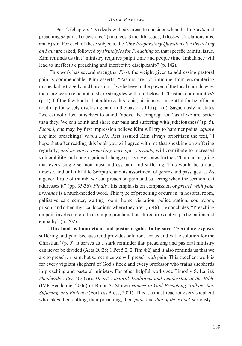Part 2 (chapters 4-9) deals with six areas to consider when dealing *with* and preaching *on* pain: 1) decisions, 2) finances, 3) health issues, 4) losses, 5) relationships, and 6) sin. For each of these subjects, the *Nine Preparatory Questions for Preaching on Pain* are asked, followed by *Principles for Preaching* on that specific painful issue. Kim reminds us that "ministry requires pulpit time and people time. Imbalance will lead to ineffective preaching and ineffective discipleship" (p. 142).

This work has several strengths. *First*, the weight given to addressing pastoral pain is commendable. Kim asserts, "Pastors are not immune from encountering unspeakable tragedy and hardship. If we believe in the power of the local church, why, then, are we so reluctant to share struggles with our beloved Christian communities? (p. 4). Of the few books that address this topic, his is most insightful for he offers a roadmap for wisely disclosing pain in the pastor's life (p. xii). Sagaciously he states "we cannot allow ourselves to stand "above the congregation" as if we are better than they. We can admit and share our pain and suffering with judiciousness" (p. 5). *Second*, one may, by first impression believe Kim will try to hammer pains' *square peg* into preachings' *round hole*. Rest assured Kim always prioritizes the text, "I hope that after reading this book you will agree with me that speaking on suffering regularly, *and as you're preaching pericope warrants*, will contribute to increased vulnerability and congregational change (p. xv). He states further, "I am not arguing that every single sermon must address pain and suffering. This would be unfair, unwise, and unfaithful to Scripture and its assortment of genres and passages … As a general rule of thumb, we can preach on pain and suffering when the sermon text addresses it" (pp. 35-36). *Finally*, his emphasis on compassion or *preach with your presence* is a much-needed word*.* This type of preaching occurs in "a hospital room, palliative care center, waiting room, home visitation, police station, courtroom, prison, and other physical locations where they are" (p. 46). He concludes, "Preaching on pain involves more than simple proclamation. It requires active participation and empathy" (p. 202).

**This book is homiletical and pastoral gold. To be sure,** "Scripture exposes suffering and pain because God provides solutions for us and *is* the solution for the Christian" (p. 9). It serves as a stark reminder that preaching and pastoral ministry can never be divided (Acts 20:28; 1 Pet 5:2; 2 Tim 4:2) and it also reminds us that we are to preach *to* pain, but sometimes we will preach *with* pain. This excellent work is for every vigilant shepherd of God's flock and every professor who trains shepherds in preaching and pastoral ministry. For other helpful works see Timothy S. Laniak *Shepherds After My Own Heart*: *Pastoral Traditions and Leadership in the Bible* (IVP Academic, 2006) or Brent A. Strawn *Honest to God Preaching*: *Talking Sin*, *Suffering*, *and Violence* (Fortress Press, 2021). This is a must-read for every shepherd who takes their calling, their preaching, their *pain,* and *that of their flock* seriously.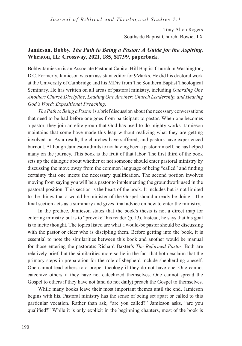Tony Alton Rogers Southside Baptist Church, Bowie, TX

# **Jamieson, Bobby.** *The Path to Being a Pastor: A Guide for the Aspiring***. Wheaton, IL: Crossway, 2021, 185, \$17.99, paperback.**

Bobby Jamieson is an Associate Pastor at Capitol Hill Baptist Church in Washington, D.C. Formerly, Jamieson was an assistant editor for 9Marks. He did his doctoral work at the University of Cambridge and his MDiv from The Southern Baptist Theological Seminary. He has written on all areas of pastoral ministry, including *Guarding One Another: Church Discipline, Leading One Another: Church Leadership, and Hearing God's Word: Expositional Preaching*.

*The Path to Being a Pastor* is a brief discussion about the necessary conversations that need to be had before one goes from participant to pastor. When one becomes a pastor, they join an elite group that God has used to do mighty works. Jamieson maintains that some have made this leap without realizing what they are getting involved in. As a result, the churches have suffered, and pastors have experienced burnout. Although Jamieson admits to not having been a pastor himself, he has helped many on the journey. This book is the fruit of that labor. The first third of the book sets up the dialogue about whether or not someone should enter pastoral ministry by discussing the move away from the common language of being "called" and finding certainty that one meets the necessary qualification. The second portion involves moving from saying you will be a pastor to implementing the groundwork used in the pastoral position. This section is the heart of the book. It includes but is not limited to the things that a would-be minister of the Gospel should already be doing. The final section acts as a summary and gives final advice on how to enter the ministry.

In the preface, Jamieson states that the book's thesis is not a direct map for entering ministry but is to "provoke" his reader (p. 13). Instead, he says that his goal is to incite thought. The topics listed are what a would-be pastor should be discussing with the pastor or elder who is discipling them. Before getting into the book, it is essential to note the similarities between this book and another would be manual for those entering the pastorate: Richard Baxter's *The Reformed Pastor*. Both are relatively brief, but the similarities more so lie in the fact that both exclaim that the primary steps in preparation for the role of shepherd include shepherding oneself. One cannot lead others to a proper theology if they do not have one. One cannot catechize others if they have not catechized themselves. One cannot spread the Gospel to others if they have not (and do not daily) preach the Gospel to themselves.

While many books leave their most important themes until the end, Jamieson begins with his. Pastoral ministry has the sense of being set apart or called to this particular vocation. Rather than ask, "are you called?" Jamieson asks, "are you qualified?" While it is only explicit in the beginning chapters, most of the book is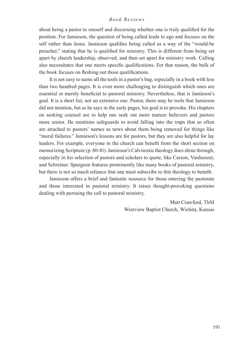about being a pastor to oneself and discerning whether one is truly qualified for the position. For Jamieson, the question of being called leads to ego and focuses on the self rather than Jesus. Jamieson qualifies being called as a way of the "would-be preacher," stating that he is qualified for ministry. This is different from being set apart by church leadership, observed, and then set apart for ministry work. Calling also necessitates that one meets specific qualifications. For that reason, the bulk of the book focuses on fleshing out those qualifications.

It is not easy to name all the tools in a pastor's bag, especially in a book with less than two hundred pages. It is even more challenging to distinguish which ones are essential or merely beneficial to pastoral ministry. Nevertheless, that is Jamieson's goal. It is a short list, not an extensive one. Pastor, there may be tools that Jamieson did not mention, but as he says in the early pages, his goal is to provoke. His chapters on seeking counsel are to help one seek out more mature believers and pastors more senior. He mentions safeguards to avoid falling into the traps that so often are attached to pastors' names as news about them being removed for things like "moral failures." Jamieson's lessons are for pastors, but they are also helpful for lay leaders. For example, everyone in the church can benefit from the short section on memorizing Scripture (p. 80-81). Jamieson's Calvinistic theology does shine through, especially in his selection of pastors and scholars to quote, like Carson, Vanhoozer, and Schreiner. Spurgeon features prominently like many books of pastoral ministry, but there is not so much reliance that one must subscribe to this theology to benefit.

Jamieson offers a brief and fantastic resource for those entering the pastorate and those interested in pastoral ministry. It raises thought-provoking questions dealing with pursuing the call to pastoral ministry.

> Matt Crawford, ThM Westview Baptist Church, Wichita, Kansas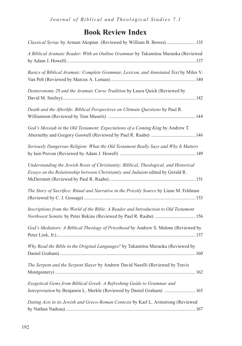# **Book Review Index**

| Classical Syriac by Arman Akopian (Reviewed by William B. Bowes)  135                                                                                                    |
|--------------------------------------------------------------------------------------------------------------------------------------------------------------------------|
| A Biblical Aramaic Reader: With an Outline Grammar by Takamitsu Muraoka (Reviewed                                                                                        |
| Basics of Biblical Aramaic: Complete Grammar, Lexicon, and Annotated Text by Miles V.                                                                                    |
| Deuteronomy 28 and the Aramaic Curse Tradition by Laura Quick (Reviewed by                                                                                               |
| Death and the Afterlife: Biblical Perspectives on Ultimate Questions by Paul R.                                                                                          |
| God's Messiah in the Old Testament: Expectations of a Coming King by Andrew T.                                                                                           |
| Seriously Dangerous Religion: What the Old Testament Really Says and Why It Matters                                                                                      |
| Understanding the Jewish Roots of Christianity: Biblical, Theological, and Historical<br>Essays on the Relationship between Christianity and Judaism edited by Gerald R. |
| The Story of Sacrifice: Ritual and Narrative in the Priestly Source by Liane M. Feldman                                                                                  |
| Inscriptions from the World of the Bible: A Reader and Introduction to Old Testament<br>Northwest Semitic by Peter Bekins (Reviewed by Paul R. Raabe)  156               |
| God's Mediators: A Biblical Theology of Priesthood by Andrew S. Malone (Reviewed by                                                                                      |
| Why Read the Bible in the Original Languages? by Takamitsu Muraoka (Reviewed by                                                                                          |
| The Serpent and the Serpent Slayer by Andrew David Naselli (Reviewed by Travis                                                                                           |
| Exegetical Gems from Biblical Greek: A Refreshing Guide to Grammar and<br>Interpretation by Benjamin L. Merkle (Reviewed by Daniel Graham)  165                          |
| Dating Acts in its Jewish and Greco-Roman Contexts by Karl L. Armstrong (Reviewed                                                                                        |